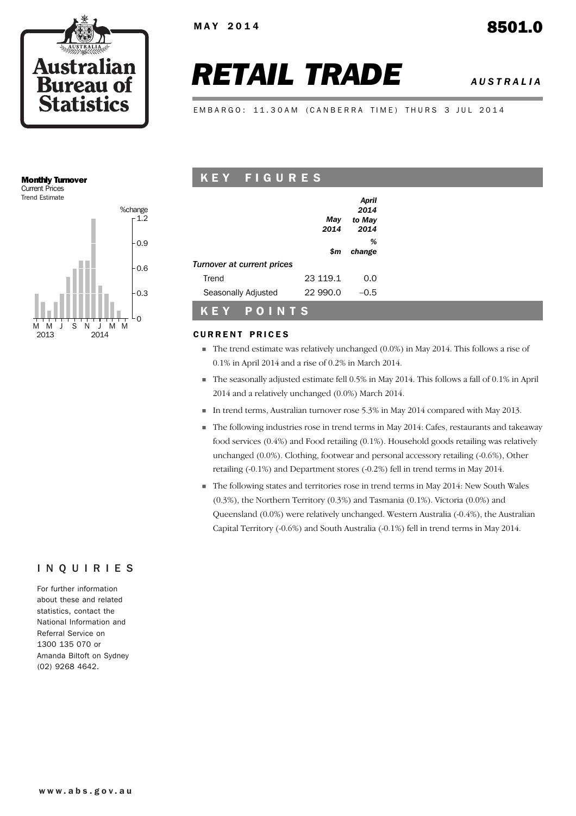

# *RETAIL TRADE AUSTRALIA*

EMBARGO: 11.30AM (CANBERRA TIME) THURS 3 JUL 2014

#### Monthly Turnover Current Prices



## K E Y F I G U R E S

|                            |          | April  |
|----------------------------|----------|--------|
|                            |          | 2014   |
|                            | May      | to May |
|                            | 2014     | 2014   |
|                            |          | %      |
|                            | \$m      | change |
| Turnover at current prices |          |        |
| Trend                      | 23 119.1 | 0.0    |
| Seasonally Adjusted        | 22 990.0 | ი 5    |
|                            |          |        |

## **CURRENT PRICES**

K E Y P O I N T S

- ! The trend estimate was relatively unchanged (0.0%) in May 2014. This follows a rise of 0.1% in April 2014 and a rise of 0.2% in March 2014.
- ! The seasonally adjusted estimate fell 0.5% in May 2014. This follows a fall of 0.1% in April 2014 and a relatively unchanged (0.0%) March 2014.
- ! In trend terms, Australian turnover rose 5.3% in May 2014 compared with May 2013.
- ! The following industries rose in trend terms in May 2014: Cafes, restaurants and takeaway food services (0.4%) and Food retailing (0.1%). Household goods retailing was relatively unchanged (0.0%). Clothing, footwear and personal accessory retailing (-0.6%), Other retailing (-0.1%) and Department stores (-0.2%) fell in trend terms in May 2014.
- ! The following states and territories rose in trend terms in May 2014: New South Wales (0.3%), the Northern Territory (0.3%) and Tasmania (0.1%). Victoria (0.0%) and Queensland (0.0%) were relatively unchanged. Western Australia (-0.4%), the Australian Capital Territory (-0.6%) and South Australia (-0.1%) fell in trend terms in May 2014.

## INQUIRIES

For further information about these and related statistics, contact the National Information and Referral Service on 1300 135 070 or Amanda Biltoft on Sydney (02) 9268 4642.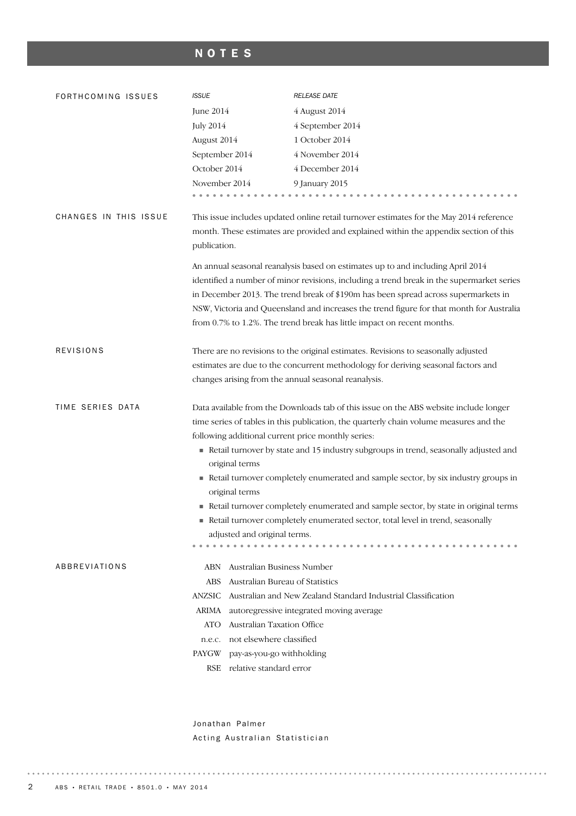## NOTES

| FORTHCOMING ISSUES    | <b>ISSUE</b>                                                                                                                                                                                                                                                                                                                                                                                                                             | <b>RELEASE DATE</b>                                                                                                                                                              |  |  |  |  |  |
|-----------------------|------------------------------------------------------------------------------------------------------------------------------------------------------------------------------------------------------------------------------------------------------------------------------------------------------------------------------------------------------------------------------------------------------------------------------------------|----------------------------------------------------------------------------------------------------------------------------------------------------------------------------------|--|--|--|--|--|
|                       | June 2014                                                                                                                                                                                                                                                                                                                                                                                                                                | 4 August 2014                                                                                                                                                                    |  |  |  |  |  |
|                       | <b>July 2014</b>                                                                                                                                                                                                                                                                                                                                                                                                                         | 4 September 2014                                                                                                                                                                 |  |  |  |  |  |
|                       | August 2014                                                                                                                                                                                                                                                                                                                                                                                                                              | 1 October 2014                                                                                                                                                                   |  |  |  |  |  |
|                       | September 2014                                                                                                                                                                                                                                                                                                                                                                                                                           | 4 November 2014                                                                                                                                                                  |  |  |  |  |  |
|                       | October 2014                                                                                                                                                                                                                                                                                                                                                                                                                             | 4 December 2014                                                                                                                                                                  |  |  |  |  |  |
|                       | November 2014                                                                                                                                                                                                                                                                                                                                                                                                                            | 9 January 2015                                                                                                                                                                   |  |  |  |  |  |
|                       |                                                                                                                                                                                                                                                                                                                                                                                                                                          |                                                                                                                                                                                  |  |  |  |  |  |
| CHANGES IN THIS ISSUE | publication.                                                                                                                                                                                                                                                                                                                                                                                                                             | This issue includes updated online retail turnover estimates for the May 2014 reference<br>month. These estimates are provided and explained within the appendix section of this |  |  |  |  |  |
|                       |                                                                                                                                                                                                                                                                                                                                                                                                                                          |                                                                                                                                                                                  |  |  |  |  |  |
|                       | An annual seasonal reanalysis based on estimates up to and including April 2014<br>identified a number of minor revisions, including a trend break in the supermarket series<br>in December 2013. The trend break of \$190m has been spread across supermarkets in<br>NSW, Victoria and Queensland and increases the trend figure for that month for Australia<br>from 0.7% to 1.2%. The trend break has little impact on recent months. |                                                                                                                                                                                  |  |  |  |  |  |
| <b>REVISIONS</b>      |                                                                                                                                                                                                                                                                                                                                                                                                                                          | There are no revisions to the original estimates. Revisions to seasonally adjusted                                                                                               |  |  |  |  |  |
|                       | estimates are due to the concurrent methodology for deriving seasonal factors and                                                                                                                                                                                                                                                                                                                                                        |                                                                                                                                                                                  |  |  |  |  |  |
|                       | changes arising from the annual seasonal reanalysis.                                                                                                                                                                                                                                                                                                                                                                                     |                                                                                                                                                                                  |  |  |  |  |  |
| TIME SERIES DATA      |                                                                                                                                                                                                                                                                                                                                                                                                                                          | Data available from the Downloads tab of this issue on the ABS website include longer                                                                                            |  |  |  |  |  |
|                       |                                                                                                                                                                                                                                                                                                                                                                                                                                          | time series of tables in this publication, the quarterly chain volume measures and the                                                                                           |  |  |  |  |  |
|                       | following additional current price monthly series:                                                                                                                                                                                                                                                                                                                                                                                       |                                                                                                                                                                                  |  |  |  |  |  |
|                       | original terms                                                                                                                                                                                                                                                                                                                                                                                                                           | Retail turnover by state and 15 industry subgroups in trend, seasonally adjusted and                                                                                             |  |  |  |  |  |
|                       | Retail turnover completely enumerated and sample sector, by six industry groups in                                                                                                                                                                                                                                                                                                                                                       |                                                                                                                                                                                  |  |  |  |  |  |
|                       | original terms                                                                                                                                                                                                                                                                                                                                                                                                                           | Retail turnover completely enumerated and sample sector, by state in original terms                                                                                              |  |  |  |  |  |
|                       | adjusted and original terms.                                                                                                                                                                                                                                                                                                                                                                                                             | Retail turnover completely enumerated sector, total level in trend, seasonally                                                                                                   |  |  |  |  |  |
|                       |                                                                                                                                                                                                                                                                                                                                                                                                                                          |                                                                                                                                                                                  |  |  |  |  |  |
| ABBREVIATIONS         | Australian Business Number<br>ABN                                                                                                                                                                                                                                                                                                                                                                                                        |                                                                                                                                                                                  |  |  |  |  |  |
|                       | Australian Bureau of Statistics<br><b>ABS</b>                                                                                                                                                                                                                                                                                                                                                                                            |                                                                                                                                                                                  |  |  |  |  |  |
|                       | ANZSIC                                                                                                                                                                                                                                                                                                                                                                                                                                   | Australian and New Zealand Standard Industrial Classification                                                                                                                    |  |  |  |  |  |
|                       | ARIMA                                                                                                                                                                                                                                                                                                                                                                                                                                    | autoregressive integrated moving average                                                                                                                                         |  |  |  |  |  |
|                       | Australian Taxation Office<br><b>ATO</b>                                                                                                                                                                                                                                                                                                                                                                                                 |                                                                                                                                                                                  |  |  |  |  |  |
|                       | not elsewhere classified<br>n.e.c.                                                                                                                                                                                                                                                                                                                                                                                                       |                                                                                                                                                                                  |  |  |  |  |  |
|                       | pay-as-you-go withholding<br>PAYGW                                                                                                                                                                                                                                                                                                                                                                                                       |                                                                                                                                                                                  |  |  |  |  |  |
|                       | relative standard error<br><b>RSE</b>                                                                                                                                                                                                                                                                                                                                                                                                    |                                                                                                                                                                                  |  |  |  |  |  |
|                       |                                                                                                                                                                                                                                                                                                                                                                                                                                          |                                                                                                                                                                                  |  |  |  |  |  |

Jonathan Palmer Acting Australian Statistician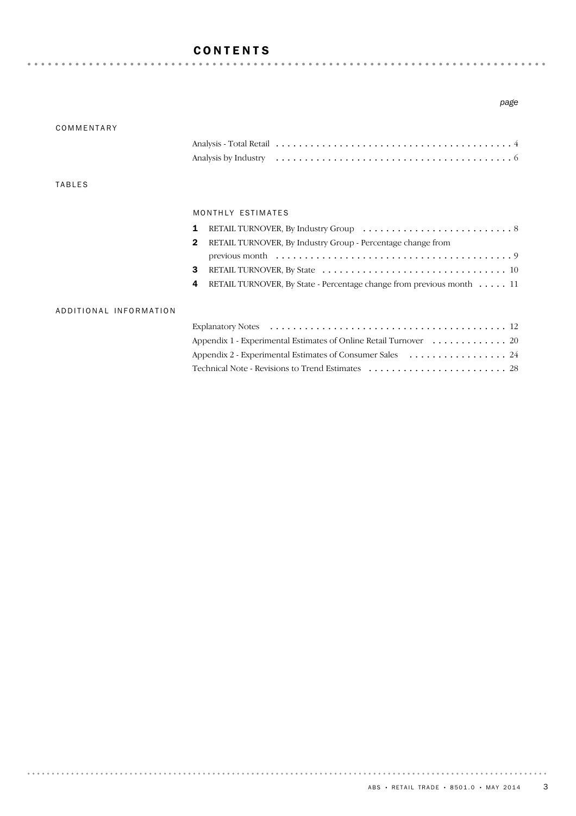## CONTENTS

#### *page*

| COMMENTARY             |                                                                             |
|------------------------|-----------------------------------------------------------------------------|
|                        |                                                                             |
|                        |                                                                             |
| <b>TABLES</b>          |                                                                             |
|                        | MONTHLY ESTIMATES                                                           |
|                        | 1                                                                           |
|                        | RETAIL TURNOVER, By Industry Group - Percentage change from<br>$\mathbf{2}$ |
|                        |                                                                             |
|                        | 3                                                                           |
|                        | RETAIL TURNOVER, By State - Percentage change from previous month 11<br>4   |
| ADDITIONAL INFORMATION |                                                                             |
|                        |                                                                             |
|                        | Appendix 1 - Experimental Estimates of Online Retail Turnover 20            |
|                        | Appendix 2 - Experimental Estimates of Consumer Sales  24                   |
|                        |                                                                             |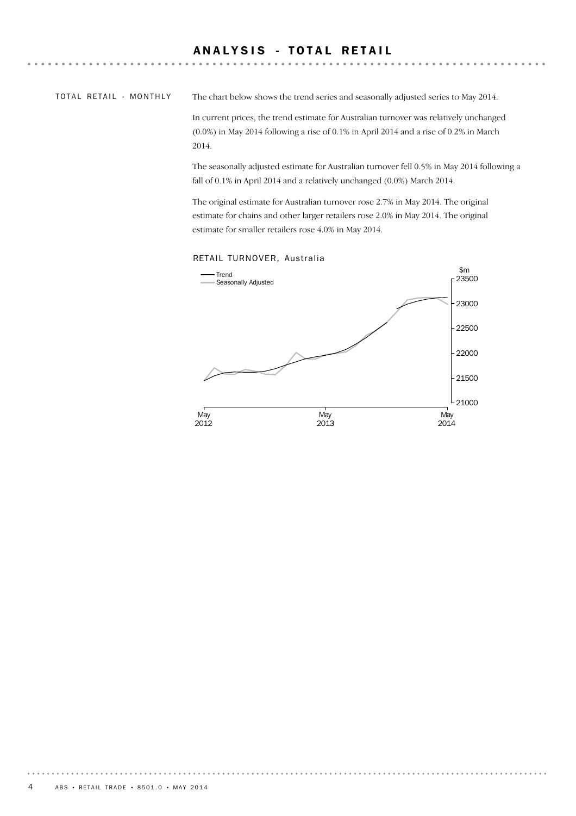## ANALYSIS - TOTAL RETAIL

#### TOTAL RETAIL - MONTHLY

The chart below shows the trend series and seasonally adjusted series to May 2014.

In current prices, the trend estimate for Australian turnover was relatively unchanged (0.0%) in May 2014 following a rise of 0.1% in April 2014 and a rise of 0.2% in March 2014.

The seasonally adjusted estimate for Australian turnover fell 0.5% in May 2014 following a fall of 0.1% in April 2014 and a relatively unchanged (0.0%) March 2014.

The original estimate for Australian turnover rose 2.7% in May 2014. The original estimate for chains and other larger retailers rose 2.0% in May 2014. The original estimate for smaller retailers rose 4.0% in May 2014.



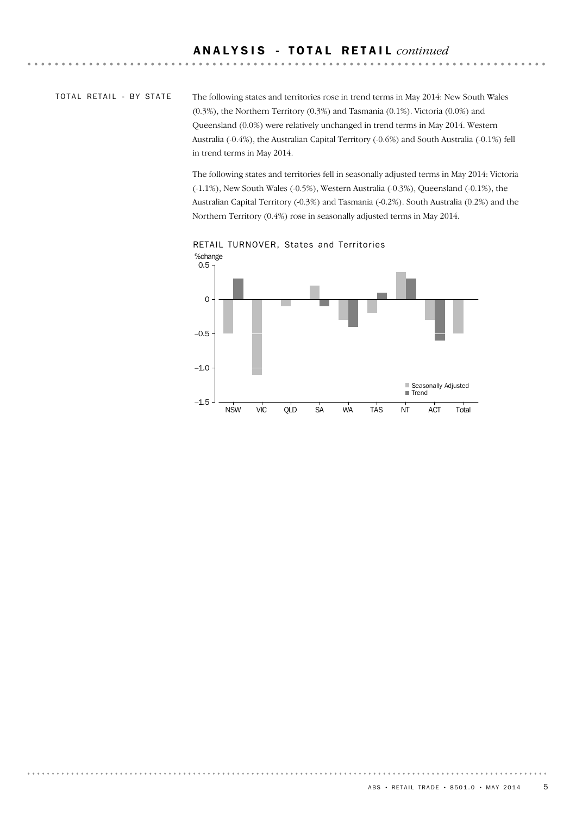## TOTAL RETAIL - BY STATE

The following states and territories rose in trend terms in May 2014: New South Wales (0.3%), the Northern Territory (0.3%) and Tasmania (0.1%). Victoria (0.0%) and Queensland (0.0%) were relatively unchanged in trend terms in May 2014. Western Australia (-0.4%), the Australian Capital Territory (-0.6%) and South Australia (-0.1%) fell in trend terms in May 2014.

The following states and territories fell in seasonally adjusted terms in May 2014: Victoria (-1.1%), New South Wales (-0.5%), Western Australia (-0.3%), Queensland (-0.1%), the Australian Capital Territory (-0.3%) and Tasmania (-0.2%). South Australia (0.2%) and the Northern Territory (0.4%) rose in seasonally adjusted terms in May 2014.



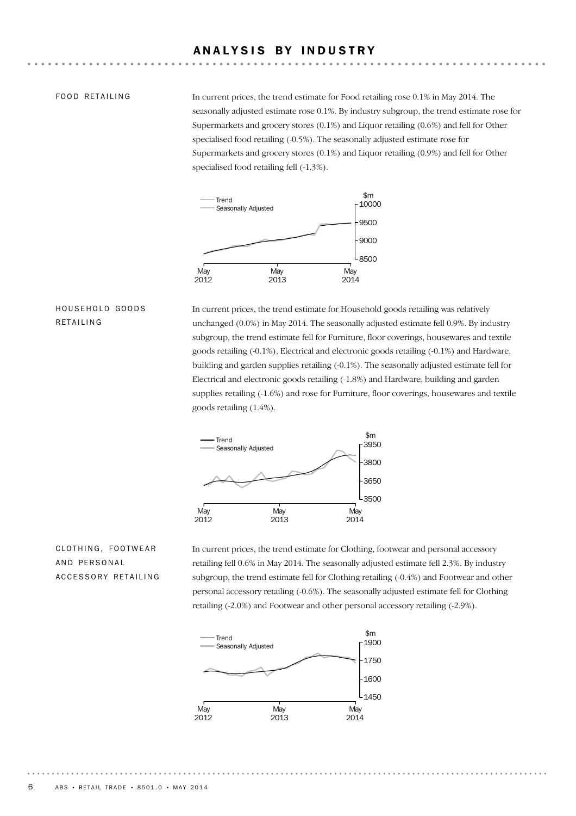## ANALYSIS BY INDUSTRY

#### FOOD RETAILING

In current prices, the trend estimate for Food retailing rose 0.1% in May 2014. The seasonally adjusted estimate rose 0.1%. By industry subgroup, the trend estimate rose for Supermarkets and grocery stores (0.1%) and Liquor retailing (0.6%) and fell for Other specialised food retailing (-0.5%). The seasonally adjusted estimate rose for Supermarkets and grocery stores (0.1%) and Liquor retailing (0.9%) and fell for Other specialised food retailing fell (-1.3%).



## HOUSEHOLD GOODS RETAILING

In current prices, the trend estimate for Household goods retailing was relatively unchanged (0.0%) in May 2014. The seasonally adjusted estimate fell 0.9%. By industry subgroup, the trend estimate fell for Furniture, floor coverings, housewares and textile goods retailing (-0.1%), Electrical and electronic goods retailing (-0.1%) and Hardware, building and garden supplies retailing (-0.1%). The seasonally adjusted estimate fell for Electrical and electronic goods retailing (-1.8%) and Hardware, building and garden supplies retailing (-1.6%) and rose for Furniture, floor coverings, housewares and textile goods retailing (1.4%).



## CLOTHING, FOOTWEAR AND PERSONAL ACCESSORY RETAILING

In current prices, the trend estimate for Clothing, footwear and personal accessory retailing fell 0.6% in May 2014. The seasonally adjusted estimate fell 2.3%. By industry subgroup, the trend estimate fell for Clothing retailing (-0.4%) and Footwear and other personal accessory retailing (-0.6%). The seasonally adjusted estimate fell for Clothing retailing (-2.0%) and Footwear and other personal accessory retailing (-2.9%).

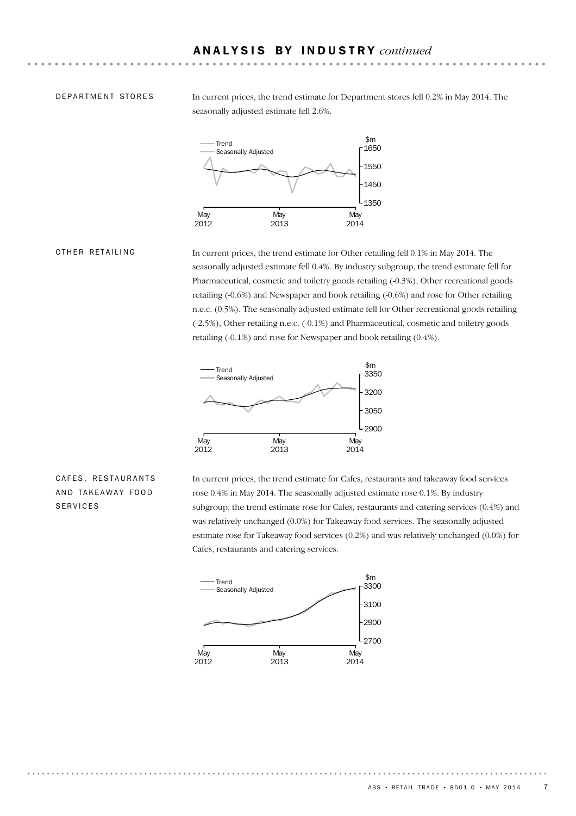#### DEPARTMENT STORES

In current prices, the trend estimate for Department stores fell 0.2% in May 2014. The seasonally adjusted estimate fell 2.6%.



#### OTHER RETAILING

In current prices, the trend estimate for Other retailing fell 0.1% in May 2014. The seasonally adjusted estimate fell 0.4%. By industry subgroup, the trend estimate fell for Pharmaceutical, cosmetic and toiletry goods retailing (-0.3%), Other recreational goods retailing (-0.6%) and Newspaper and book retailing (-0.6%) and rose for Other retailing n.e.c. (0.5%). The seasonally adjusted estimate fell for Other recreational goods retailing (-2.5%), Other retailing n.e.c. (-0.1%) and Pharmaceutical, cosmetic and toiletry goods retailing (-0.1%) and rose for Newspaper and book retailing (0.4%).



## CAFES, RESTAURANTS AND TAKEAWAY FOOD SERVICES

In current prices, the trend estimate for Cafes, restaurants and takeaway food services rose 0.4% in May 2014. The seasonally adjusted estimate rose 0.1%. By industry subgroup, the trend estimate rose for Cafes, restaurants and catering services (0.4%) and was relatively unchanged (0.0%) for Takeaway food services. The seasonally adjusted estimate rose for Takeaway food services (0.2%) and was relatively unchanged (0.0%) for Cafes, restaurants and catering services.

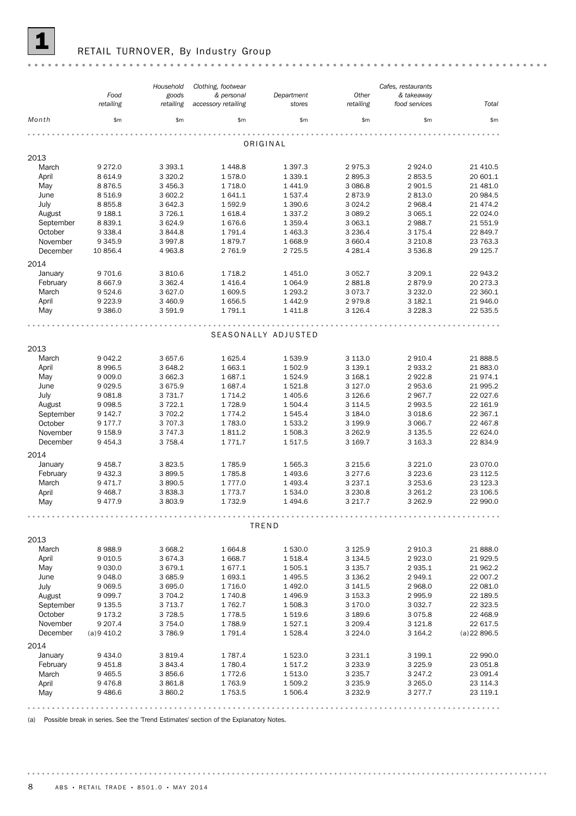

## RETAIL TURNOVER, By Industry Group

|           |            | Household   | Clothing, footwear  |                     |             | Cafes, restaurants |                |
|-----------|------------|-------------|---------------------|---------------------|-------------|--------------------|----------------|
|           | Food       | goods       | & personal          | Department          | Other       | & takeaway         |                |
|           | retailing  | retailing   | accessory retailing | stores              | retailing   | food services      | Total          |
| Month     | \$m\$      | \$m\$       | \$m\$               | \$m\$               | \$m\$       | \$m\$              | \$m\$          |
|           |            |             |                     |                     |             |                    |                |
|           |            |             |                     | ORIGINAL            |             |                    |                |
| 2013      |            |             |                     |                     |             |                    |                |
| March     | 9 2 7 2.0  | 3 3 9 3.1   | 1448.8              | 1 3 9 7 . 3         | 2975.3      | 2924.0             | 21 410.5       |
| April     | 8 6 1 4.9  | 3 3 2 0.2   | 1578.0              | 1 3 3 9 . 1         | 2895.3      | 2853.5             | 20 601.1       |
| May       | 8876.5     | 3 4 5 6.3   | 1718.0              | 1441.9              | 3 0 8 6.8   | 2 901.5            | 21 481.0       |
| June      | 8 5 1 6.9  | 3 602.2     | 1641.1              | 1537.4              | 2873.9      | 2 813.0            | 20 984.5       |
| July      | 8855.8     | 3 642.3     | 1592.9              | 1 3 9 0.6           | 3 0 2 4 . 2 | 2 968.4            | 21 4 7 4.2     |
| August    | 9 1 8 8.1  | 3 7 2 6.1   | 1618.4              | 1 3 3 7 . 2         | 3 0 8 9.2   | 3 065.1            | 22 024.0       |
| September | 8 8 3 9.1  | 3624.9      | 1676.6              | 1 3 5 9.4           | 3 063.1     | 2 988.7            | 21 551.9       |
| October   | 9 3 3 8.4  | 3844.8      | 1 7 9 1.4           | 1 4 6 3.3           | 3 2 3 6.4   | 3 175.4            | 22 849.7       |
| November  | 9 3 4 5.9  | 3 9 9 7.8   | 1879.7              | 1668.9              | 3 660.4     | 3 2 1 0.8          | 23 763.3       |
| December  | 10 856.4   | 4 9 63.8    | 2 761.9             | 2 7 2 5 .5          | 4 2 8 1.4   | 3 536.8            | 29 125.7       |
|           |            |             |                     |                     |             |                    |                |
| 2014      |            |             |                     |                     |             |                    |                |
| January   | 9 701.6    | 3810.6      | 1 7 1 8.2           | 1 4 5 1.0           | 3 0 5 2.7   | 3 209.1            | 22 943.2       |
| February  | 8 6 6 7.9  | 3 3 6 2.4   | 1 4 1 6.4           | 1 0 6 4 .9          | 2881.8      | 2879.9             | 20 273.3       |
| March     | 9524.6     | 3 627.0     | 1 609.5             | 1 2 9 3.2           | 3 0 7 3 . 7 | 3 2 3 2 . 0        | 22 360.1       |
| April     | 9 2 2 3.9  | 3 4 6 0.9   | 1656.5              | 1442.9              | 2979.8      | 3 182.1            | 21 946.0       |
| May       | 9 3 8 6.0  | 3 5 9 1.9   | 1 791.1             | 1 4 1 1.8           | 3 1 2 6.4   | 3 2 2 8 . 3        | 22 535.5       |
|           |            |             |                     |                     |             |                    |                |
|           |            |             |                     | SEASONALLY ADJUSTED |             |                    |                |
|           |            |             |                     |                     |             |                    |                |
| 2013      |            |             |                     |                     |             |                    |                |
| March     | 9 0 4 2.2  | 3 657.6     | 1 625.4             | 1539.9              | 3 1 1 3 . 0 | 2910.4             | 21 888.5       |
| April     | 8 9 9 6.5  | 3 648.2     | 1 663.1             | 1502.9              | 3 139.1     | 2 933.2            | 21 883.0       |
| May       | 9 0 0 9.0  | 3 662.3     | 1687.1              | 1524.9              | 3 168.1     | 2922.8             | 21974.1        |
| June      | 9 0 29.5   | 3 675.9     | 1 687.4             | 1521.8              | 3 1 2 7 .0  | 2 953.6            | 21 995.2       |
| July      | 9 0 8 1.8  | 3 7 3 1.7   | 1 7 1 4 . 2         | 1 4 0 5.6           | 3 1 2 6.6   | 2 967.7            | 22 027.6       |
| August    | 9 0 98.5   | 3 7 2 2.1   | 1728.9              | 1 504.4             | 3 1 1 4 .5  | 2 9 9 3.5          | 22 161.9       |
| September | 9 142.7    | 3 702.2     | 1 7 7 4 . 2         | 1 545.4             | 3 184.0     | 3 0 18.6           | 22 367.1       |
| October   | 9 177.7    | 3 707.3     | 1783.0              | 1 533.2             | 3 199.9     | 3 0 66.7           | 22 467.8       |
| November  | 9 1 5 8.9  | 3 7 4 7 . 3 | 1811.2              | 1 508.3             | 3 2 6 2.9   | 3 1 3 5 . 5        | 22 624.0       |
| December  | 9 4 5 4.3  | 3 7 5 8.4   | 1 7 7 1 . 7         | 1517.5              | 3 169.7     | 3 163.3            | 22 834.9       |
| 2014      |            |             |                     |                     |             |                    |                |
| January   | 9 4 58.7   | 3823.5      | 1785.9              | 1 565.3             | 3 2 1 5 . 6 | 3 2 2 1.0          | 23 070.0       |
| February  | 9 4 3 2.3  | 3899.5      | 1785.8              | 1493.6              | 3 277.6     | 3 2 2 3.6          | 23 112.5       |
| March     | 9 4 7 1.7  | 3890.5      | 1 7 7 7 .0          | 1 4 9 3.4           | 3 2 3 7 . 1 | 3 253.6            | 23 123.3       |
| April     | 9 4 68.7   | 3 8 3 8 . 3 | 1773.7              | 1534.0              | 3 2 3 0.8   | 3 2 6 1.2          | 23 106.5       |
| May       | 9477.9     | 3803.9      | 1732.9              | 1 4 9 4.6           | 3 2 1 7 . 7 | 3 2 6 2.9          | 22 990.0       |
|           |            |             |                     |                     |             |                    |                |
|           |            |             |                     |                     |             |                    |                |
|           |            |             |                     | TREND               |             |                    |                |
| 2013      |            |             |                     |                     |             |                    |                |
| March     | 8988.9     | 3 668.2     | 1 6 6 4.8           | 1 530.0             | 3 1 2 5 . 9 | 2 910.3            | 21 888.0       |
| April     | 9 0 1 0.5  | 3 674.3     | 1 668.7             | 1518.4              | 3 1 3 4 .5  | 2923.0             | 21 929.5       |
| May       | 9 0 3 0.0  | 3 6 7 9.1   | 1677.1              | 1 505.1             | 3 1 3 5 . 7 | 2 9 3 5.1          | 21 962.2       |
| June      | 9 0 48.0   | 3 685.9     | 1693.1              | 1 4 9 5.5           | 3 1 3 6.2   | 2 949.1            | 22 007.2       |
| July      | 9 0 69.5   | 3 695.0     | 1716.0              | 1 4 9 2.0           | 3 141.5     | 2 968.0            | 22 081.0       |
| August    | 9 0 9 9.7  | 3 704.2     | 1 740.8             | 1496.9              | 3 1 5 3 . 3 | 2995.9             | 22 189.5       |
| September | 9 1 3 5 .5 | 3 7 1 3 . 7 | 1 762.7             | 1 508.3             | 3 170.0     | 3 0 3 2.7          | 22 323.5       |
| October   | 9 173.2    | 3 7 28.5    | 1778.5              | 1519.6              | 3 189.6     | 3 0 7 5.8          | 22 468.9       |
| November  | 9 207.4    | 3754.0      | 1788.9              | 1527.1              | 3 209.4     | 3 1 2 1.8          | 22 617.5       |
| December  | (a)9410.2  | 3786.9      | 1 791.4             | 1528.4              | 3 2 2 4 .0  | 3 164.2            | $(a)$ 22 896.5 |
| 2014      |            |             |                     |                     |             |                    |                |
| January   | 9 4 3 4 .0 | 3 8 1 9.4   | 1787.4              | 1523.0              | 3 2 3 1 . 1 | 3 199.1            | 22 990.0       |
| February  | 9 4 5 1.8  | 3843.4      | 1 780.4             | 1517.2              | 3 2 3 3 . 9 | 3 2 2 5.9          | 23 051.8       |
| March     | 9 4 6 5.5  | 3856.6      | 1 7 7 2.6           | 1513.0              | 3 2 3 5.7   | 3 247.2            | 23 091.4       |
| April     | 9476.8     | 3861.8      | 1763.9              | 1 509.2             | 3 2 3 5 . 9 | 3 2 6 5 . 0        | 23 114.3       |
| May       | 9 4 8 6.6  | 3 860.2     | 1753.5              | 1 506.4             | 3 2 3 2 . 9 | 3 277.7            | 23 119.1       |
|           |            |             |                     |                     |             |                    |                |
|           |            |             |                     |                     |             |                    |                |

(a) Possible break in series. See the 'Trend Estimates' section of the Explanatory Notes.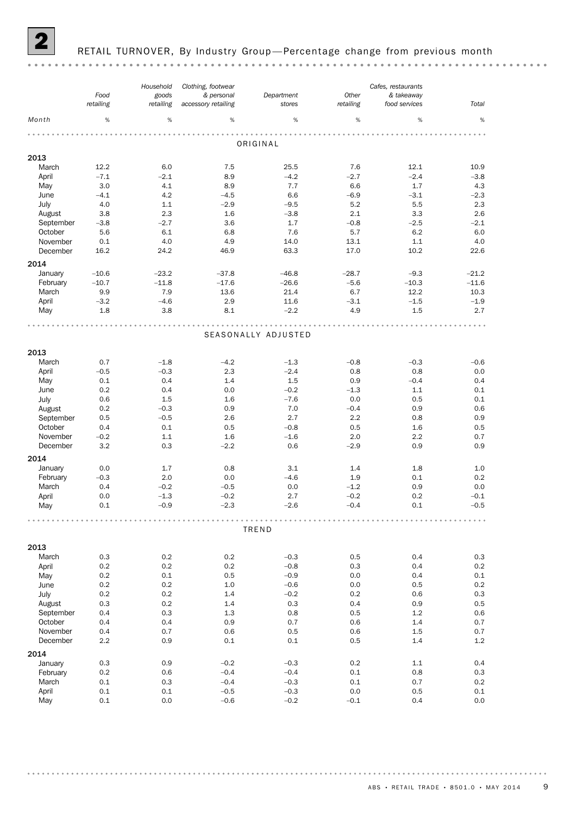

#### RETAIL TURNOVER, By Industry Group-Percentage change from previous month

#### *Cafes, restaurants Clothing, footwear Household Food Department Other & personal goods & takeaway retailing retailing stores Total accessory retailing retailing food services Month* %  $\hspace{0.4cm}$  %  $\hspace{0.4cm}$  %  $\hspace{0.4cm}$  %  $\hspace{0.4cm}$  %  $\hspace{0.4cm}$  %  $\hspace{0.4cm}$  %  $\hspace{0.4cm}$  % ORIGINAL 2013 March 12.2 6.0 7.5 25.5 7.6 12.1 10.9 April –7.1 –2.1 8.9 –4.2 –2.7 –2.4 –3.8 May 3.0 4.1 8.9 7.7 6.6 1.7 4.3 June –4.1 4.2 –4.5 6.6 –6.9 –3.1 –2.3 July 4.0 1.1 –2.9 –9.5 5.2 5.5 2.3 August 3.8 2.3 1.6 -3.8 2.1 3.3 2.6<br>
September -3.8 -2.7 3.6 1.7 -0.8 -2.5 -2.1<br>
October 5.6 6.1 6.8 7.6 5.7 6.2 6.0 August 3.8 2.3 1.6 –3.8 2.1 3.3 2.6 October 5.6 6.1 6.8 7.6 5.7 6.2 6.0 November 0.1 4.0 4.9 14.0 13.1 1.1 4.0 December 16.2 24.2 46.9 63.3 17.0 10.2 22.6 2014 January –10.6 –23.2 –37.8 –46.8 –28.7 –9.3 –21.2 February –10.7 –11.8 –17.6 –26.6 –5.6 –10.3 –11.6 March 9.9 7.9 13.6 21.4 6.7 12.2 10.3 April –3.2 –4.6 2.9 11.6 –3.1 –1.5 –1.9 May 1.8 3.8 8.1 –2.2 4.9 1.5 2.7 SEASONALLY ADJUSTED 2013 March 0.7 –1.8 –4.2 –1.3 –0.8 –0.3 –0.6 April –0.5 –0.3 2.3 –2.4 0.8 0.8 0.0 May 0.1 0.4 1.4 1.5 0.9 –0.4 0.4 June 0.2 0.4 0.0 –0.2 –1.3 1.1 0.1 July 0.6 1.5 1.6 –7.6 0.0 0.5 0.1 August 0.2 –0.3 0.9 7.0 –0.4 0.9 0.6 September 0.5 –0.5 2.6 2.7 2.2 0.8 0.9 October 0.4 0.1 0.5 –0.8 0.5 1.6 0.5 November –0.2 1.1 1.6 –1.6 2.0 2.2 0.7 December 3.2 0.3 –2.2 0.6 –2.9 0.9 0.9 2014 January 0.0 1.7 0.8 3.1 1.4 1.8 1.0 February –0.3 2.0 0.0 –4.6 1.9 0.1 0.2 March 0.4 –0.2 –0.5 0.0 –1.2 0.9 0.0 April 0.0 –1.3 –0.2 2.7 –0.2 0.2 –0.1 May 0.1 –0.9 –2.3 –2.6 –0.4 0.1 –0.5 TREND 2013 March 0.3 0.2 0.2 –0.3 0.5 0.4 0.3 April 0.2 0.2 0.2 –0.8 0.3 0.4 0.2 May 0.2 0.1 0.5 –0.9 0.0 0.4 0.1 June 0.2 0.2 1.0 –0.6 0.0 0.5 0.2 July 0.2 0.2 1.4 –0.2 0.2 0.6 0.3 August 0.3 0.2 1.4 0.3 0.4 0.9 0.5 September 0.4 0.3 1.3 0.8 0.5 1.2 0.6 October 0.4 0.4 0.9 0.7 0.6 1.4 0.7 November 0.4 0.7 0.6 0.5 0.6 1.5 0.7 December 2.2 0.9 0.1 0.1 0.5 1.4 1.2 2014 January 0.3 0.9 –0.2 –0.3 0.2 1.1 0.4 February 0.2 0.6 –0.4 –0.4 0.1 0.8 0.3 March 0.1 0.3 –0.4 –0.3 0.1 0.7 0.2 April 0.1 0.1 –0.5 –0.3 0.0 0.5 0.1 May 0.1 0.0 –0.6 –0.2 –0.1 0.4 0.0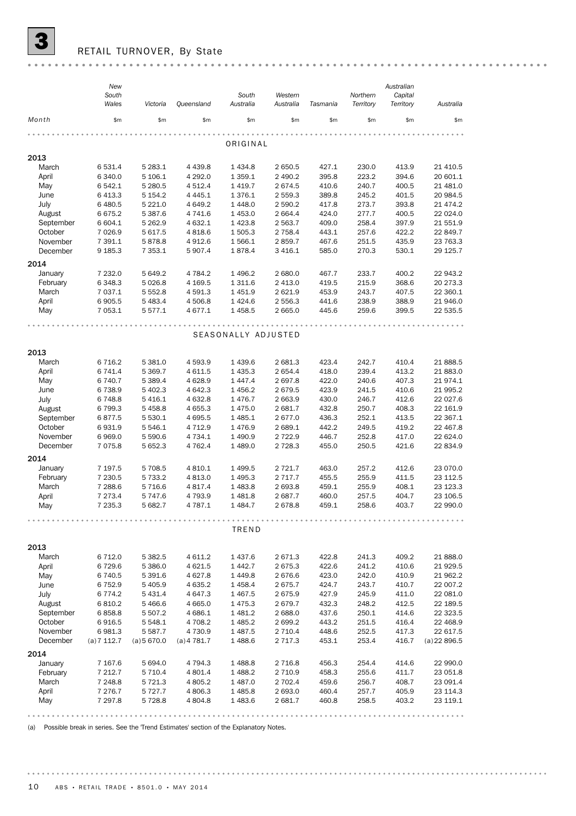

 $\overline{\mathbf{3}}$  RETAIL TURNOVER, By State

|           | New        |             |               |                     |             |          |           | Australian |                |  |  |  |
|-----------|------------|-------------|---------------|---------------------|-------------|----------|-----------|------------|----------------|--|--|--|
|           | South      |             |               | South               | Western     |          | Northern  | Capital    |                |  |  |  |
|           | Wales      | Victoria    | Queensland    | Australia           | Australia   | Tasmania | Territory | Territory  | Australia      |  |  |  |
| Month     | \$m        | \$m         | \$m\$         | \$m                 | \$m         | \$m      | \$m\$     | \$m        | \$m            |  |  |  |
|           | ORIGINAL   |             |               |                     |             |          |           |            |                |  |  |  |
| 2013      |            |             |               |                     |             |          |           |            |                |  |  |  |
|           |            |             |               |                     |             |          |           |            |                |  |  |  |
| March     | 6531.4     | 5 2 8 3.1   | 4 4 3 9.8     | 1 4 3 4.8           | 2 650.5     | 427.1    | 230.0     | 413.9      | 21 410.5       |  |  |  |
| April     | 6 3 4 0.0  | 5 106.1     | 4 292.0       | 1 3 5 9.1           | 2 490.2     | 395.8    | 223.2     | 394.6      | 20 601.1       |  |  |  |
| May       | 6542.1     | 5 280.5     | 4512.4        | 1 4 1 9.7           | 2 674.5     | 410.6    | 240.7     | 400.5      | 21 481.0       |  |  |  |
| June      | 6413.3     | 5 1 5 4 . 2 | 4 4 4 5.1     | 1 376.1             | 2 559.3     | 389.8    | 245.2     | 401.5      | 20 984.5       |  |  |  |
| July      | 6 480.5    | 5 2 2 1.0   | 4 649.2       | 1 4 4 8.0           | 2 590.2     | 417.8    | 273.7     | 393.8      | 21 474.2       |  |  |  |
| August    | 6675.2     | 5 3 8 7 .6  | 4 741.6       | 1 453.0             | 2 664.4     | 424.0    | 277.7     | 400.5      | 22 024.0       |  |  |  |
| September | 6 604.1    | 5 2 6 2.9   | 4 632.1       | 1 4 2 3.8           | 2 563.7     | 409.0    | 258.4     | 397.9      | 21 551.9       |  |  |  |
| October   | 7 0 26.9   | 5 617.5     | 4818.6        | 1 505.3             | 2 7 5 8.4   | 443.1    | 257.6     | 422.2      | 22 849.7       |  |  |  |
| November  | 7 391.1    | 5878.8      | 4912.6        | 1 566.1             | 2 859.7     | 467.6    | 251.5     | 435.9      | 23 763.3       |  |  |  |
| December  | 9 185.3    | 7 3 5 3.1   | 5 907.4       | 1878.4              | 3 4 1 6.1   | 585.0    | 270.3     | 530.1      | 29 125.7       |  |  |  |
| 2014      |            |             |               |                     |             |          |           |            |                |  |  |  |
| January   | 7 232.0    | 5 649.2     | 4 784.2       | 1 4 9 6.2           | 2 680.0     | 467.7    | 233.7     | 400.2      | 22 943.2       |  |  |  |
| February  | 6 3 4 8.3  | 5 0 26.8    | 4 169.5       | 1 311.6             | 2 413.0     | 419.5    | 215.9     | 368.6      | 20 273.3       |  |  |  |
| March     | 7 037.1    | 5 5 5 2.8   | 4 591.3       | 1 451.9             | 2 621.9     | 453.9    | 243.7     | 407.5      | 22 360.1       |  |  |  |
| April     | 6905.5     | 5 4 8 3.4   | 4 506.8       | 1424.6              | 2 556.3     | 441.6    | 238.9     | 388.9      | 21 946.0       |  |  |  |
| May       | 7 0 5 3.1  | 5577.1      | 4677.1        | 1 4 5 8.5           | 2 665.0     | 445.6    | 259.6     | 399.5      | 22 535.5       |  |  |  |
|           |            |             |               |                     |             |          |           |            |                |  |  |  |
|           |            |             |               | SEASONALLY ADJUSTED |             |          |           |            |                |  |  |  |
|           |            |             |               |                     |             |          |           |            |                |  |  |  |
| 2013      |            |             |               |                     |             |          |           |            |                |  |  |  |
| March     | 6 7 1 6.2  | 5 3 8 1.0   | 4 593.9       | 1 439.6             | 2 681.3     | 423.4    | 242.7     | 410.4      | 21 888.5       |  |  |  |
| April     | 6 741.4    | 5 3 69.7    | 4 611.5       | 1 4 3 5 . 3         | 2 654.4     | 418.0    | 239.4     | 413.2      | 21 883.0       |  |  |  |
| May       | 6 740.7    | 5 3 8 9.4   | 4628.9        | 1 4 4 7 . 4         | 2 697.8     | 422.0    | 240.6     | 407.3      | 21974.1        |  |  |  |
| June      | 6738.9     | 5 402.3     | 4 642.3       | 1 456.2             | 2 679.5     | 423.9    | 241.5     | 410.6      | 21 995.2       |  |  |  |
| July      | 6748.8     | 5 4 1 6.1   | 4 632.8       | 1 4 7 6.7           | 2 663.9     | 430.0    | 246.7     | 412.6      | 22 027.6       |  |  |  |
| August    | 6799.3     | 5 4 5 8.8   | 4 655.3       | 1 475.0             | 2 681.7     | 432.8    | 250.7     | 408.3      | 22 161.9       |  |  |  |
| September | 6877.5     | 5 5 3 0.1   | 4 695.5       | 1 485.1             | 2677.0      | 436.3    | 252.1     | 413.5      | 22 367.1       |  |  |  |
| October   | 6931.9     | 5 546.1     | 4712.9        | 1476.9              | 2 689.1     | 442.2    | 249.5     | 419.2      | 22 467.8       |  |  |  |
| November  | 6969.0     | 5 590.6     | 4 734.1       | 1 490.9             | 2 7 2 2.9   | 446.7    | 252.8     | 417.0      | 22 624.0       |  |  |  |
| December  | 7075.8     | 5 652.3     | 4 7 6 2.4     | 1 489.0             | 2 7 28.3    | 455.0    | 250.5     | 421.6      | 22 834.9       |  |  |  |
| 2014      |            |             |               |                     |             |          |           |            |                |  |  |  |
| January   | 7 197.5    | 5 708.5     | 4 8 1 0.1     | 1 499.5             | 2 7 2 1.7   | 463.0    | 257.2     | 412.6      | 23 070.0       |  |  |  |
| February  | 7 2 3 0.5  | 5 7 3 3.2   | 4813.0        | 1 4 9 5.3           | 2 7 1 7 . 7 | 455.5    | 255.9     | 411.5      | 23 112.5       |  |  |  |
| March     | 7 288.6    | 5716.6      | 4817.4        | 1 483.8             | 2 693.8     | 459.1    | 255.9     | 408.1      | 23 123.3       |  |  |  |
| April     | 7 2 7 3.4  | 5 747.6     | 4 793.9       | 1 481.8             | 2 687.7     | 460.0    | 257.5     | 404.7      | 23 106.5       |  |  |  |
| May       | 7 235.3    | 5 682.7     | 4 787.1       | 1 484.7             | 2 678.8     | 459.1    | 258.6     | 403.7      | 22 990.0       |  |  |  |
|           |            |             |               |                     |             |          |           |            |                |  |  |  |
|           |            |             |               | TREND               |             |          |           |            |                |  |  |  |
| 2013      |            |             |               |                     |             |          |           |            |                |  |  |  |
| March     | 6 7 1 2.0  | 5 3 8 2.5   | 4 611.2       | 1 437.6             | 2 671.3     | 422.8    | 241.3     | 409.2      | 21 888.0       |  |  |  |
|           |            |             |               |                     |             |          |           |            |                |  |  |  |
| April     | 6729.6     | 5 386.0     | 4 6 2 1.5     | 1 4 4 2.7           | 2 675.3     | 422.6    | 241.2     | 410.6      | 21 929.5       |  |  |  |
| May       | 6740.5     | 5 391.6     | 4 6 27.8      | 1 4 4 9.8           | 2 676.6     | 423.0    | 242.0     | 410.9      | 21 962.2       |  |  |  |
| June      | 6752.9     | 5 4 0 5.9   | 4 6 3 5.2     | 1 4 5 8.4           | 2 675.7     | 424.7    | 243.7     | 410.7      | 22 007.2       |  |  |  |
| July      | 6774.2     | 5 4 3 1.4   | 4 647.3       | 1 467.5             | 2 675.9     | 427.9    | 245.9     | 411.0      | 22 081.0       |  |  |  |
| August    | 6810.2     | 5466.6      | 4 6 6 5.0     | 1 475.3             | 2679.7      | 432.3    | 248.2     | 412.5      | 22 189.5       |  |  |  |
| September | 6858.8     | 5 507.2     | 4 686.1       | 1 481.2             | 2 688.0     | 437.6    | 250.1     | 414.6      | 22 323.5       |  |  |  |
| October   | 6916.5     | 5 5 4 8.1   | 4 708.2       | 1 485.2             | 2 699.2     | 443.2    | 251.5     | 416.4      | 22 468.9       |  |  |  |
| November  | 6981.3     | 5 5 8 7 . 7 | 4 730.9       | 1 487.5             | 2 7 1 0.4   | 448.6    | 252.5     | 417.3      | 22 617.5       |  |  |  |
| December  | (a)7 112.7 | (a) 5670.0  | $(a)$ 4 781.7 | 1488.6              | 2 7 1 7 . 3 | 453.1    | 253.4     | 416.7      | $(a)$ 22 896.5 |  |  |  |
| 2014      |            |             |               |                     |             |          |           |            |                |  |  |  |
| January   | 7 167.6    | 5 694.0     | 4 794.3       | 1 488.8             | 2 7 1 6.8   | 456.3    | 254.4     | 414.6      | 22 990.0       |  |  |  |
| February  | 7 212.7    | 5 7 1 0.4   | 4 801.4       | 1 488.2             | 2 7 1 0.9   | 458.3    | 255.6     | 411.7      | 23 051.8       |  |  |  |
| March     | 7 248.8    | 5 7 2 1.3   | 4 805.2       | 1 487.0             | 2 702.4     | 459.6    | 256.7     | 408.7      | 23 091.4       |  |  |  |
| April     | 7 276.7    | 5 7 2 7 . 7 | 4 806.3       | 1 485.8             | 2 693.0     | 460.4    | 257.7     | 405.9      | 23 114.3       |  |  |  |
| May       | 7 297.8    | 5728.8      | 4 804.8       | 1 483.6             | 2 681.7     | 460.8    | 258.5     | 403.2      | 23 119.1       |  |  |  |
|           |            |             |               |                     |             |          |           |            |                |  |  |  |
|           |            |             |               |                     |             |          |           |            |                |  |  |  |

(a) Possible break in series. See the 'Trend Estimates' section of the Explanatory Notes.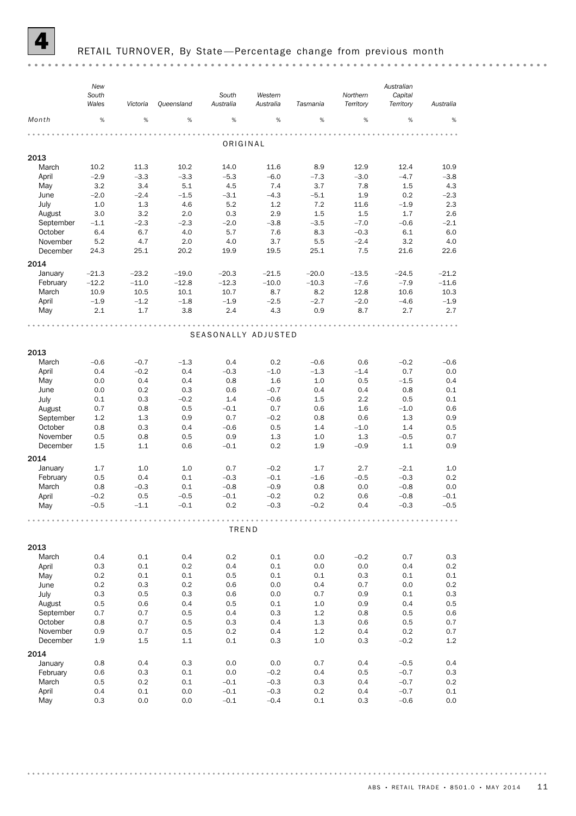

## RETAIL TURNOVER, By State-Percentage change from previous month

|           | New<br>South<br>Wales | Victoria | Queensland | South<br>Australia  | Western<br>Australia | Tasmania | Northern<br>Territory | Australian<br>Capital<br>Territory | Australia |
|-----------|-----------------------|----------|------------|---------------------|----------------------|----------|-----------------------|------------------------------------|-----------|
| Month     | %                     | %        | $\%$       | %                   | %                    | %        | %                     | %                                  | %         |
|           |                       |          |            | ORIGINAL            |                      |          |                       |                                    |           |
| 2013      |                       |          |            |                     |                      |          |                       |                                    |           |
| March     | 10.2                  | 11.3     | 10.2       | 14.0                | 11.6                 | 8.9      | 12.9                  | 12.4                               | 10.9      |
|           |                       |          |            |                     |                      |          |                       |                                    |           |
| April     | $-2.9$                | $-3.3$   | $-3.3$     | $-5.3$              | $-6.0$               | $-7.3$   | $-3.0$                | $-4.7$                             | $-3.8$    |
| May       | 3.2                   | 3.4      | 5.1        | 4.5                 | 7.4                  | 3.7      | 7.8                   | $1.5\,$                            | 4.3       |
| June      | $-2.0$                | $-2.4$   | $-1.5$     | $-3.1$              | $-4.3$               | $-5.1$   | 1.9                   | 0.2                                | $-2.3$    |
| July      | 1.0                   | 1.3      | 4.6        | 5.2                 | 1.2                  | 7.2      | 11.6                  | $-1.9$                             | 2.3       |
| August    | 3.0                   | 3.2      | 2.0        | 0.3                 | 2.9                  | 1.5      | 1.5                   | 1.7                                | 2.6       |
| September | $-1.1$                | $-2.3$   | $-2.3$     | $-2.0$              | $-3.8$               | $-3.5$   | $-7.0$                | $-0.6$                             | $-2.1$    |
| October   | 6.4                   | 6.7      | 4.0        | 5.7                 | 7.6                  | 8.3      | $-0.3$                | 6.1                                | 6.0       |
| November  | 5.2                   | 4.7      | 2.0        | 4.0                 | 3.7                  | 5.5      | $-2.4$                | 3.2                                | 4.0       |
| December  | 24.3                  | 25.1     | 20.2       | 19.9                | 19.5                 | 25.1     | 7.5                   | 21.6                               | 22.6      |
| 2014      |                       |          |            |                     |                      |          |                       |                                    |           |
| January   | $-21.3$               | $-23.2$  | $-19.0$    | $-20.3$             | $-21.5$              | $-20.0$  | $-13.5$               | $-24.5$                            | $-21.2$   |
| February  | $-12.2$               | $-11.0$  | $-12.8$    | $-12.3$             | $-10.0$              | $-10.3$  | $-7.6$                | $-7.9$                             | $-11.6$   |
| March     | 10.9                  | 10.5     | 10.1       | 10.7                | 8.7                  | 8.2      | 12.8                  | 10.6                               | 10.3      |
| April     | $-1.9$                | $-1.2$   | $-1.8$     | $-1.9$              | $-2.5$               | $-2.7$   | $-2.0$                | $-4.6$                             | $-1.9$    |
| May       | 2.1                   | 1.7      | 3.8        | 2.4                 | 4.3                  | 0.9      | 8.7                   | 2.7                                | 2.7       |
|           |                       |          |            |                     |                      |          |                       |                                    |           |
|           |                       |          |            | SEASONALLY ADJUSTED |                      |          |                       |                                    |           |
|           |                       |          |            |                     |                      |          |                       |                                    |           |
| 2013      |                       |          |            |                     |                      |          |                       |                                    |           |
| March     | $-0.6$                | $-0.7$   | $-1.3$     | 0.4                 | 0.2                  | $-0.6$   | 0.6                   | $-0.2$                             | $-0.6$    |
| April     | 0.4                   | $-0.2$   | 0.4        | $-0.3$              | $-1.0$               | $-1.3$   | $-1.4$                | 0.7                                | 0.0       |
| May       | 0.0                   | 0.4      | 0.4        | 0.8                 | 1.6                  | 1.0      | 0.5                   | $-1.5$                             | 0.4       |
| June      | 0.0                   | 0.2      | 0.3        | 0.6                 | $-0.7$               | 0.4      | 0.4                   | 0.8                                | 0.1       |
| July      | 0.1                   | 0.3      | $-0.2$     | 1.4                 | $-0.6$               | 1.5      | 2.2                   | 0.5                                | 0.1       |
| August    | 0.7                   | 0.8      | 0.5        | $-0.1$              | 0.7                  | 0.6      | 1.6                   | $-1.0$                             | 0.6       |
| September | 1.2                   | 1.3      | 0.9        | 0.7                 | $-0.2$               | 0.8      | 0.6                   | 1.3                                | 0.9       |
| October   | 0.8                   | 0.3      | 0.4        | $-0.6$              | 0.5                  | 1.4      | $-1.0$                | 1.4                                | 0.5       |
| November  | 0.5                   | 0.8      | 0.5        | 0.9                 | 1.3                  | 1.0      | 1.3                   | $-0.5$                             | 0.7       |
| December  | 1.5                   | 1.1      | 0.6        | $-0.1$              | 0.2                  | 1.9      | $-0.9$                | 1.1                                | 0.9       |
| 2014      |                       |          |            |                     |                      |          |                       |                                    |           |
| January   | 1.7                   | 1.0      | 1.0        | 0.7                 | $-0.2$               | 1.7      | 2.7                   | $-2.1$                             | 1.0       |
| February  | 0.5                   | 0.4      | 0.1        | $-0.3$              | $-0.1$               | $-1.6$   | $-0.5$                | $-0.3$                             | 0.2       |
| March     | 0.8                   | $-0.3$   | 0.1        | $-0.8$              | $-0.9$               | 0.8      | 0.0                   | $-0.8$                             | 0.0       |
| April     | $-0.2$                | 0.5      | $-0.5$     | $-0.1$              | $-0.2$               | 0.2      | 0.6                   | $-0.8$                             | $-0.1$    |
| May       | $-0.5$                | $-1.1$   | $-0.1$     | 0.2                 | $-0.3$               | $-0.2$   | 0.4                   | $-0.3$                             | $-0.5$    |
|           |                       |          |            |                     |                      |          |                       |                                    |           |
|           |                       |          |            | TREND               |                      |          |                       |                                    |           |
|           |                       |          |            |                     |                      |          |                       |                                    |           |
| 2013      | 0.4                   | 0.1      | 0.4        |                     | 0.1                  |          | $-0.2$                | 0.7                                | 0.3       |
| March     |                       |          |            | 0.2                 |                      | 0.0      |                       |                                    |           |
| April     | 0.3                   | 0.1      | 0.2        | 0.4                 | 0.1                  | 0.0      | 0.0                   | 0.4                                | 0.2       |
| May       | 0.2                   | 0.1      | 0.1        | 0.5                 | 0.1                  | 0.1      | 0.3                   | 0.1                                | 0.1       |
| June      | 0.2                   | 0.3      | 0.2        | 0.6                 | 0.0                  | 0.4      | 0.7                   | 0.0                                | 0.2       |
| July      | 0.3                   | 0.5      | 0.3        | 0.6                 | 0.0                  | 0.7      | 0.9                   | 0.1                                | 0.3       |
| August    | 0.5                   | 0.6      | 0.4        | 0.5                 | 0.1                  | 1.0      | 0.9                   | 0.4                                | 0.5       |
| September | 0.7                   | 0.7      | 0.5        | 0.4                 | 0.3                  | 1.2      | 0.8                   | 0.5                                | 0.6       |
| October   | 0.8                   | 0.7      | 0.5        | 0.3                 | 0.4                  | 1.3      | 0.6                   | 0.5                                | 0.7       |
| November  | 0.9                   | 0.7      | 0.5        | 0.2                 | 0.4                  | 1.2      | 0.4                   | 0.2                                | 0.7       |
| December  | 1.9                   | 1.5      | 1.1        | 0.1                 | 0.3                  | 1.0      | 0.3                   | $-0.2$                             | 1.2       |
| 2014      |                       |          |            |                     |                      |          |                       |                                    |           |
| January   | 0.8                   | 0.4      | 0.3        | 0.0                 | 0.0                  | 0.7      | 0.4                   | $-0.5$                             | 0.4       |
| February  | 0.6                   | 0.3      | 0.1        | 0.0                 | $-0.2$               | 0.4      | 0.5                   | $-0.7$                             | 0.3       |
| March     | 0.5                   | 0.2      | 0.1        | $-0.1$              | $-0.3$               | 0.3      | 0.4                   | $-0.7$                             | 0.2       |
| April     | 0.4                   | 0.1      | 0.0        | $-0.1$              | $-0.3$               | 0.2      | 0.4                   | $-0.7$                             | 0.1       |
| May       | 0.3                   | 0.0      | 0.0        | $-0.1$              | $-0.4$               | 0.1      | 0.3                   | $-0.6$                             | 0.0       |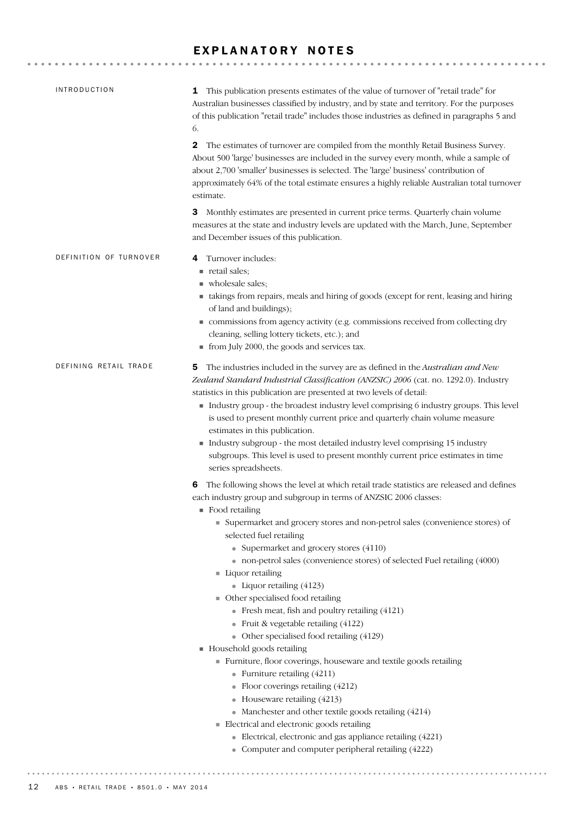## EXPLANATORY NOTES

| <b>INTRODUCTION</b>    | This publication presents estimates of the value of turnover of "retail trade" for<br>1<br>Australian businesses classified by industry, and by state and territory. For the purposes<br>of this publication "retail trade" includes those industries as defined in paragraphs 5 and<br>6.                                                                                                                                                                                                                                                                                                                                                                                                                                                                                                                                                                                                                                                                                                                                                                                                                        |
|------------------------|-------------------------------------------------------------------------------------------------------------------------------------------------------------------------------------------------------------------------------------------------------------------------------------------------------------------------------------------------------------------------------------------------------------------------------------------------------------------------------------------------------------------------------------------------------------------------------------------------------------------------------------------------------------------------------------------------------------------------------------------------------------------------------------------------------------------------------------------------------------------------------------------------------------------------------------------------------------------------------------------------------------------------------------------------------------------------------------------------------------------|
|                        | 2<br>The estimates of turnover are compiled from the monthly Retail Business Survey.<br>About 500 'large' businesses are included in the survey every month, while a sample of<br>about 2,700 'smaller' businesses is selected. The 'large' business' contribution of<br>approximately 64% of the total estimate ensures a highly reliable Australian total turnover<br>estimate.                                                                                                                                                                                                                                                                                                                                                                                                                                                                                                                                                                                                                                                                                                                                 |
|                        | Monthly estimates are presented in current price terms. Quarterly chain volume<br>3<br>measures at the state and industry levels are updated with the March, June, September<br>and December issues of this publication.                                                                                                                                                                                                                                                                                                                                                                                                                                                                                                                                                                                                                                                                                                                                                                                                                                                                                          |
| DEFINITION OF TURNOVER | Turnover includes:<br>4<br>retail sales;<br>wholesale sales;<br>• takings from repairs, meals and hiring of goods (except for rent, leasing and hiring<br>of land and buildings);<br>commissions from agency activity (e.g. commissions received from collecting dry<br>cleaning, selling lottery tickets, etc.); and<br>from July 2000, the goods and services tax.                                                                                                                                                                                                                                                                                                                                                                                                                                                                                                                                                                                                                                                                                                                                              |
| DEFINING RETAIL TRADE  | The industries included in the survey are as defined in the Australian and New<br>5<br>Zealand Standard Industrial Classification (ANZSIC) 2006 (cat. no. 1292.0). Industry<br>statistics in this publication are presented at two levels of detail:<br>Industry group - the broadest industry level comprising 6 industry groups. This level<br>is used to present monthly current price and quarterly chain volume measure<br>estimates in this publication.<br>Industry subgroup - the most detailed industry level comprising 15 industry<br>subgroups. This level is used to present monthly current price estimates in time<br>series spreadsheets.                                                                                                                                                                                                                                                                                                                                                                                                                                                         |
|                        | The following shows the level at which retail trade statistics are released and defines<br>6<br>each industry group and subgroup in terms of ANZSIC 2006 classes:<br>$\blacksquare$ Food retailing<br>• Supermarket and grocery stores and non-petrol sales (convenience stores) of<br>selected fuel retailing<br>• Supermarket and grocery stores (4110)<br>• non-petrol sales (convenience stores) of selected Fuel retailing (4000)<br>Liquor retailing<br>• Liquor retailing $(4123)$<br>• Other specialised food retailing<br>• Fresh meat, fish and poultry retailing (4121)<br>• Fruit & vegetable retailing $(4122)$<br>• Other specialised food retailing (4129)<br>Household goods retailing<br>Furniture, floor coverings, houseware and textile goods retailing<br>• Furniture retailing $(4211)$<br>• Floor coverings retailing $(4212)$<br>• Houseware retailing (4213)<br>• Manchester and other textile goods retailing (4214)<br>Electrical and electronic goods retailing<br>• Electrical, electronic and gas appliance retailing (4221)<br>• Computer and computer peripheral retailing (4222) |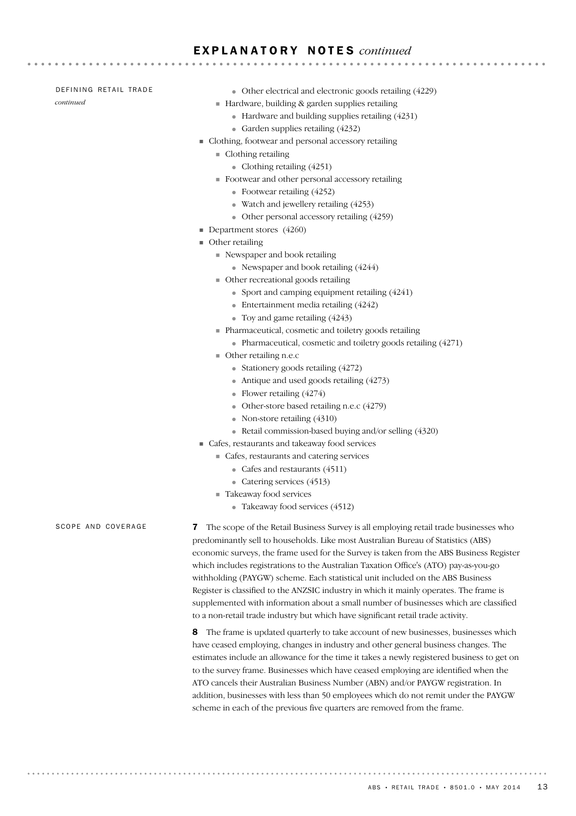## E X P L A N A T O R Y N O T E S *continued*

#### DEFINING RETAIL TRADE

*continued*

● Other electrical and electronic goods retailing (4229)

- ! Hardware, building & garden supplies retailing
	- Hardware and building supplies retailing (4231)
	- Garden supplies retailing (4232)
- ! Clothing, footwear and personal accessory retailing
	- $\blacksquare$  Clothing retailing
		- Clothing retailing  $(4251)$
	- ! Footwear and other personal accessory retailing
		- Footwear retailing (4252)
		- Watch and jewellery retailing (4253)
		- Other personal accessory retailing (4259)
- **Department stores** (4260)
- $\blacksquare$  Other retailing
	- ! Newspaper and book retailing
		- Newspaper and book retailing (4244)
	- ! Other recreational goods retailing
		- Sport and camping equipment retailing (4241)
		- Entertainment media retailing (4242)
		- Toy and game retailing (4243)
	- ! Pharmaceutical, cosmetic and toiletry goods retailing
		- Pharmaceutical, cosmetic and toiletry goods retailing (4271)
	- ! Other retailing n.e.c
		- Stationery goods retailing  $(4272)$
		- Antique and used goods retailing  $(4273)$
		- Flower retailing (4274)
		- Other-store based retailing n.e.c (4279)
		- Non-store retailing (4310)
		- Retail commission-based buying and/or selling (4320)
- ! Cafes, restaurants and takeaway food services
	- ! Cafes, restaurants and catering services
		- Cafes and restaurants (4511)
		- Catering services (4513)
	- Takeaway food services
		- Takeaway food services (4512)

SCOPE AND COVERAGE

7 The scope of the Retail Business Survey is all employing retail trade businesses who predominantly sell to households. Like most Australian Bureau of Statistics (ABS) economic surveys, the frame used for the Survey is taken from the ABS Business Register which includes registrations to the Australian Taxation Office's (ATO) pay-as-you-go withholding (PAYGW) scheme. Each statistical unit included on the ABS Business Register is classified to the ANZSIC industry in which it mainly operates. The frame is supplemented with information about a small number of businesses which are classified to a non-retail trade industry but which have significant retail trade activity.

8 The frame is updated quarterly to take account of new businesses, businesses which have ceased employing, changes in industry and other general business changes. The estimates include an allowance for the time it takes a newly registered business to get on to the survey frame. Businesses which have ceased employing are identified when the ATO cancels their Australian Business Number (ABN) and/or PAYGW registration. In addition, businesses with less than 50 employees which do not remit under the PAYGW scheme in each of the previous five quarters are removed from the frame.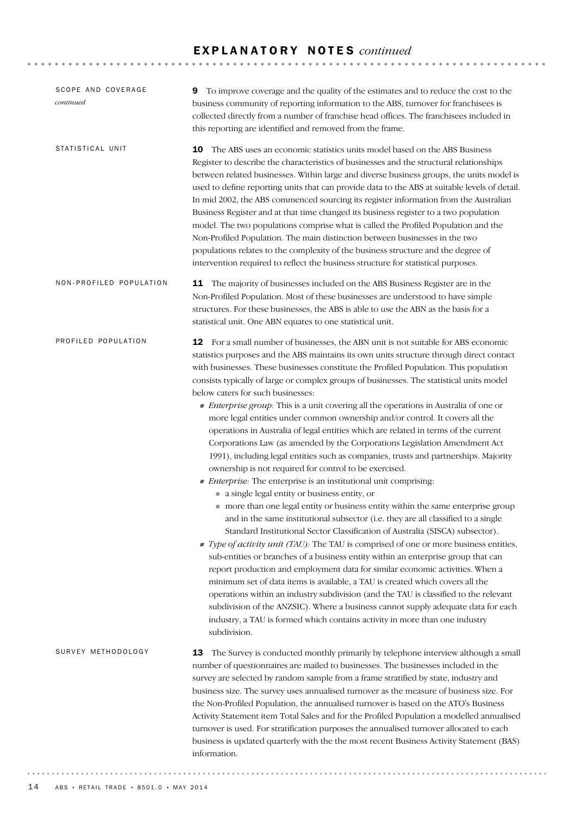## E X P L A N A T O R Y N O T E S *continued*

| SCOPE AND COVERAGE<br>continued | To improve coverage and the quality of the estimates and to reduce the cost to the<br>9<br>business community of reporting information to the ABS, turnover for franchisees is<br>collected directly from a number of franchise head offices. The franchisees included in<br>this reporting are identified and removed from the frame.                                                                                                                                                                                                                                                                                                                                                                                                                                                                                                                                                                                                                                                                                                                                                                                                                                                                                                                                                                                                                                                                                                                                                                                                                                                                                                                                                                                                                                                                                                                                                                               |
|---------------------------------|----------------------------------------------------------------------------------------------------------------------------------------------------------------------------------------------------------------------------------------------------------------------------------------------------------------------------------------------------------------------------------------------------------------------------------------------------------------------------------------------------------------------------------------------------------------------------------------------------------------------------------------------------------------------------------------------------------------------------------------------------------------------------------------------------------------------------------------------------------------------------------------------------------------------------------------------------------------------------------------------------------------------------------------------------------------------------------------------------------------------------------------------------------------------------------------------------------------------------------------------------------------------------------------------------------------------------------------------------------------------------------------------------------------------------------------------------------------------------------------------------------------------------------------------------------------------------------------------------------------------------------------------------------------------------------------------------------------------------------------------------------------------------------------------------------------------------------------------------------------------------------------------------------------------|
| STATISTICAL UNIT                | 10<br>The ABS uses an economic statistics units model based on the ABS Business<br>Register to describe the characteristics of businesses and the structural relationships<br>between related businesses. Within large and diverse business groups, the units model is<br>used to define reporting units that can provide data to the ABS at suitable levels of detail.<br>In mid 2002, the ABS commenced sourcing its register information from the Australian<br>Business Register and at that time changed its business register to a two population<br>model. The two populations comprise what is called the Profiled Population and the<br>Non-Profiled Population. The main distinction between businesses in the two<br>populations relates to the complexity of the business structure and the degree of<br>intervention required to reflect the business structure for statistical purposes.                                                                                                                                                                                                                                                                                                                                                                                                                                                                                                                                                                                                                                                                                                                                                                                                                                                                                                                                                                                                               |
| NON-PROFILED POPULATION         | 11 The majority of businesses included on the ABS Business Register are in the<br>Non-Profiled Population. Most of these businesses are understood to have simple<br>structures. For these businesses, the ABS is able to use the ABN as the basis for a<br>statistical unit. One ABN equates to one statistical unit.                                                                                                                                                                                                                                                                                                                                                                                                                                                                                                                                                                                                                                                                                                                                                                                                                                                                                                                                                                                                                                                                                                                                                                                                                                                                                                                                                                                                                                                                                                                                                                                               |
| PROFILED POPULATION             | 12 For a small number of businesses, the ABN unit is not suitable for ABS economic<br>statistics purposes and the ABS maintains its own units structure through direct contact<br>with businesses. These businesses constitute the Profiled Population. This population<br>consists typically of large or complex groups of businesses. The statistical units model<br>below caters for such businesses:<br>• Enterprise group: This is a unit covering all the operations in Australia of one or<br>more legal entities under common ownership and/or control. It covers all the<br>operations in Australia of legal entities which are related in terms of the current<br>Corporations Law (as amended by the Corporations Legislation Amendment Act<br>1991), including legal entities such as companies, trusts and partnerships. Majority<br>ownership is not required for control to be exercised.<br><i>Enterprise:</i> The enterprise is an institutional unit comprising:<br>a single legal entity or business entity, or<br>more than one legal entity or business entity within the same enterprise group<br>and in the same institutional subsector (i.e. they are all classified to a single<br>Standard Institutional Sector Classification of Australia (SISCA) subsector).<br>Type of activity unit (TAU): The TAU is comprised of one or more business entities,<br>sub-entities or branches of a business entity within an enterprise group that can<br>report production and employment data for similar economic activities. When a<br>minimum set of data items is available, a TAU is created which covers all the<br>operations within an industry subdivision (and the TAU is classified to the relevant<br>subdivision of the ANZSIC). Where a business cannot supply adequate data for each<br>industry, a TAU is formed which contains activity in more than one industry<br>subdivision. |
| SURVEY METHODOLOGY              | The Survey is conducted monthly primarily by telephone interview although a small<br>13<br>number of questionnaires are mailed to businesses. The businesses included in the<br>survey are selected by random sample from a frame stratified by state, industry and<br>business size. The survey uses annualised turnover as the measure of business size. For<br>the Non-Profiled Population, the annualised turnover is based on the ATO's Business<br>Activity Statement item Total Sales and for the Profiled Population a modelled annualised<br>turnover is used. For stratification purposes the annualised turnover allocated to each<br>business is updated quarterly with the the most recent Business Activity Statement (BAS)<br>information.                                                                                                                                                                                                                                                                                                                                                                                                                                                                                                                                                                                                                                                                                                                                                                                                                                                                                                                                                                                                                                                                                                                                                            |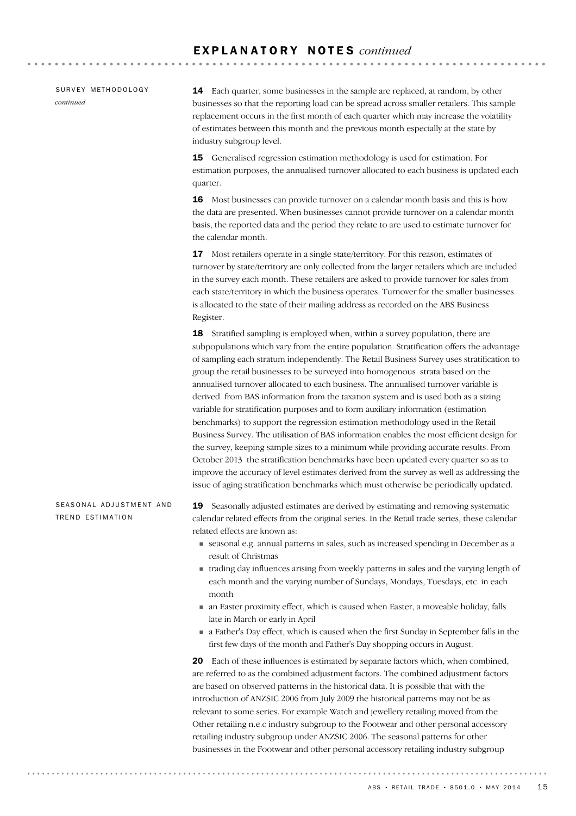SURVEY METHODOLOGY *continued*

14 Each quarter, some businesses in the sample are replaced, at random, by other businesses so that the reporting load can be spread across smaller retailers. This sample replacement occurs in the first month of each quarter which may increase the volatility of estimates between this month and the previous month especially at the state by industry subgroup level.

15 Generalised regression estimation methodology is used for estimation. For estimation purposes, the annualised turnover allocated to each business is updated each quarter.

16 Most businesses can provide turnover on a calendar month basis and this is how the data are presented. When businesses cannot provide turnover on a calendar month basis, the reported data and the period they relate to are used to estimate turnover for the calendar month.

17 Most retailers operate in a single state/territory. For this reason, estimates of turnover by state/territory are only collected from the larger retailers which are included in the survey each month. These retailers are asked to provide turnover for sales from each state/territory in which the business operates. Turnover for the smaller businesses is allocated to the state of their mailing address as recorded on the ABS Business Register.

18 Stratified sampling is employed when, within a survey population, there are subpopulations which vary from the entire population. Stratification offers the advantage of sampling each stratum independently. The Retail Business Survey uses stratification to group the retail businesses to be surveyed into homogenous strata based on the annualised turnover allocated to each business. The annualised turnover variable is derived from BAS information from the taxation system and is used both as a sizing variable for stratification purposes and to form auxiliary information (estimation benchmarks) to support the regression estimation methodology used in the Retail Business Survey. The utilisation of BAS information enables the most efficient design for the survey, keeping sample sizes to a minimum while providing accurate results. From October 2013 the stratification benchmarks have been updated every quarter so as to improve the accuracy of level estimates derived from the survey as well as addressing the issue of aging stratification benchmarks which must otherwise be periodically updated.

#### SEASONAL ADJUSTMENT AND TREND ESTIMATION

19 Seasonally adjusted estimates are derived by estimating and removing systematic calendar related effects from the original series. In the Retail trade series, these calendar related effects are known as:

- ! seasonal e.g. annual patterns in sales, such as increased spending in December as a result of Christmas
- ! trading day influences arising from weekly patterns in sales and the varying length of each month and the varying number of Sundays, Mondays, Tuesdays, etc. in each month
- ! an Easter proximity effect, which is caused when Easter, a moveable holiday, falls late in March or early in April
- ! a Father's Day effect, which is caused when the first Sunday in September falls in the first few days of the month and Father's Day shopping occurs in August.

20 Each of these influences is estimated by separate factors which, when combined, are referred to as the combined adjustment factors. The combined adjustment factors are based on observed patterns in the historical data. It is possible that with the introduction of ANZSIC 2006 from July 2009 the historical patterns may not be as relevant to some series. For example Watch and jewellery retailing moved from the Other retailing n.e.c industry subgroup to the Footwear and other personal accessory retailing industry subgroup under ANZSIC 2006. The seasonal patterns for other businesses in the Footwear and other personal accessory retailing industry subgroup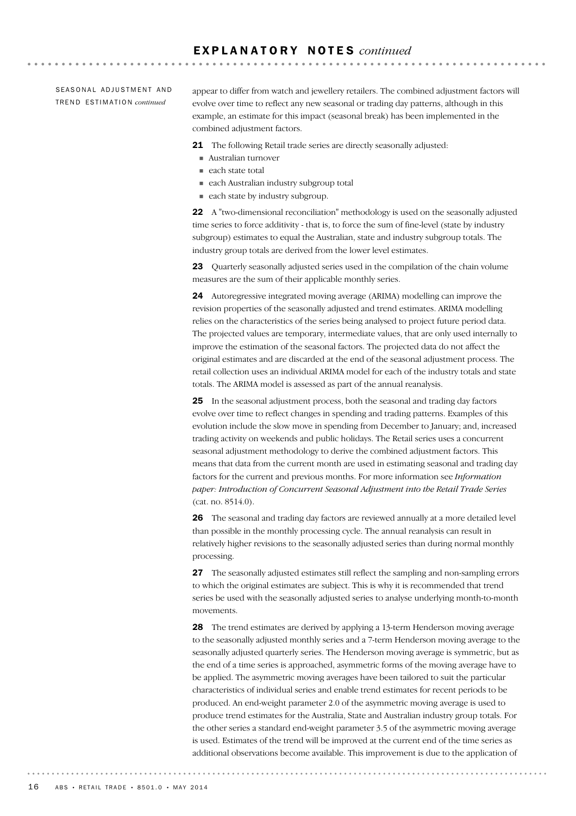SEASONAL ADJUSTMENT AND TR E N D ES T I M A T I O N *continued*

appear to differ from watch and jewellery retailers. The combined adjustment factors will evolve over time to reflect any new seasonal or trading day patterns, although in this example, an estimate for this impact (seasonal break) has been implemented in the combined adjustment factors.

**AAAAAAAAAA** 

21 The following Retail trade series are directly seasonally adjusted:

- ! Australian turnover
- each state total
- ! each Australian industry subgroup total
- each state by industry subgroup.

22 A "two-dimensional reconciliation" methodology is used on the seasonally adjusted time series to force additivity - that is, to force the sum of fine-level (state by industry subgroup) estimates to equal the Australian, state and industry subgroup totals. The industry group totals are derived from the lower level estimates.

23 Ouarterly seasonally adjusted series used in the compilation of the chain volume measures are the sum of their applicable monthly series.

24 Autoregressive integrated moving average (ARIMA) modelling can improve the revision properties of the seasonally adjusted and trend estimates. ARIMA modelling relies on the characteristics of the series being analysed to project future period data. The projected values are temporary, intermediate values, that are only used internally to improve the estimation of the seasonal factors. The projected data do not affect the original estimates and are discarded at the end of the seasonal adjustment process. The retail collection uses an individual ARIMA model for each of the industry totals and state totals. The ARIMA model is assessed as part of the annual reanalysis.

25 In the seasonal adjustment process, both the seasonal and trading day factors evolve over time to reflect changes in spending and trading patterns. Examples of this evolution include the slow move in spending from December to January; and, increased trading activity on weekends and public holidays. The Retail series uses a concurrent seasonal adjustment methodology to derive the combined adjustment factors. This means that data from the current month are used in estimating seasonal and trading day factors for the current and previous months. For more information see *Information paper: Introduction of Concurrent Seasonal Adjustment into the Retail Trade Series* (cat. no. 8514.0).

26 The seasonal and trading day factors are reviewed annually at a more detailed level than possible in the monthly processing cycle. The annual reanalysis can result in relatively higher revisions to the seasonally adjusted series than during normal monthly processing.

27 The seasonally adjusted estimates still reflect the sampling and non-sampling errors to which the original estimates are subject. This is why it is recommended that trend series be used with the seasonally adjusted series to analyse underlying month-to-month movements.

28 The trend estimates are derived by applying a 13-term Henderson moving average to the seasonally adjusted monthly series and a 7-term Henderson moving average to the seasonally adjusted quarterly series. The Henderson moving average is symmetric, but as the end of a time series is approached, asymmetric forms of the moving average have to be applied. The asymmetric moving averages have been tailored to suit the particular characteristics of individual series and enable trend estimates for recent periods to be produced. An end-weight parameter 2.0 of the asymmetric moving average is used to produce trend estimates for the Australia, State and Australian industry group totals. For the other series a standard end-weight parameter 3.5 of the asymmetric moving average is used. Estimates of the trend will be improved at the current end of the time series as additional observations become available. This improvement is due to the application of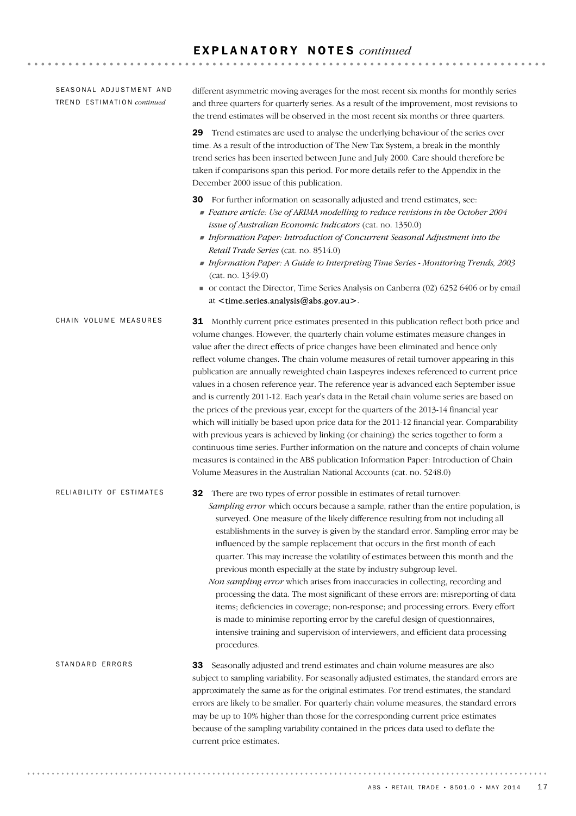## E X P L A N A T O R Y N O T E S *continued*

| SEASONAL ADJUSTMENT AND<br>TREND ESTIMATION continued | different asymmetric moving averages for the most recent six months for monthly series<br>and three quarters for quarterly series. As a result of the improvement, most revisions to<br>the trend estimates will be observed in the most recent six months or three quarters.                                                                                                                                                                                                                                                                                                                                                                                                                                                                                                                                                                                                                                                                                                                                                                                                                                                                                                                        |
|-------------------------------------------------------|------------------------------------------------------------------------------------------------------------------------------------------------------------------------------------------------------------------------------------------------------------------------------------------------------------------------------------------------------------------------------------------------------------------------------------------------------------------------------------------------------------------------------------------------------------------------------------------------------------------------------------------------------------------------------------------------------------------------------------------------------------------------------------------------------------------------------------------------------------------------------------------------------------------------------------------------------------------------------------------------------------------------------------------------------------------------------------------------------------------------------------------------------------------------------------------------------|
|                                                       | Trend estimates are used to analyse the underlying behaviour of the series over<br>29<br>time. As a result of the introduction of The New Tax System, a break in the monthly<br>trend series has been inserted between June and July 2000. Care should therefore be<br>taken if comparisons span this period. For more details refer to the Appendix in the<br>December 2000 issue of this publication.                                                                                                                                                                                                                                                                                                                                                                                                                                                                                                                                                                                                                                                                                                                                                                                              |
|                                                       | For further information on seasonally adjusted and trend estimates, see:<br>30<br>Feature article: Use of ARIMA modelling to reduce revisions in the October 2004<br>issue of Australian Economic Indicators (cat. no. 1350.0)<br>Information Paper: Introduction of Concurrent Seasonal Adjustment into the<br>Retail Trade Series (cat. no. 8514.0)<br>Information Paper: A Guide to Interpreting Time Series - Monitoring Trends, 2003<br>(cat. no. 1349.0)<br>• or contact the Director, Time Series Analysis on Canberra (02) 6252 6406 or by email<br>at <time.series.analysis@abs.gov.au>.</time.series.analysis@abs.gov.au>                                                                                                                                                                                                                                                                                                                                                                                                                                                                                                                                                                  |
| CHAIN VOLUME MEASURES                                 | <b>31</b> Monthly current price estimates presented in this publication reflect both price and<br>volume changes. However, the quarterly chain volume estimates measure changes in<br>value after the direct effects of price changes have been eliminated and hence only<br>reflect volume changes. The chain volume measures of retail turnover appearing in this<br>publication are annually reweighted chain Laspeyres indexes referenced to current price<br>values in a chosen reference year. The reference year is advanced each September issue<br>and is currently 2011-12. Each year's data in the Retail chain volume series are based on<br>the prices of the previous year, except for the quarters of the 2013-14 financial year<br>which will initially be based upon price data for the 2011-12 financial year. Comparability<br>with previous years is achieved by linking (or chaining) the series together to form a<br>continuous time series. Further information on the nature and concepts of chain volume<br>measures is contained in the ABS publication Information Paper: Introduction of Chain<br>Volume Measures in the Australian National Accounts (cat. no. 5248.0) |
| RELIABILITY OF ESTIMATES                              | There are two types of error possible in estimates of retail turnover:<br>32<br>Sampling error which occurs because a sample, rather than the entire population, is<br>surveyed. One measure of the likely difference resulting from not including all<br>establishments in the survey is given by the standard error. Sampling error may be<br>influenced by the sample replacement that occurs in the first month of each<br>quarter. This may increase the volatility of estimates between this month and the<br>previous month especially at the state by industry subgroup level.<br>Non sampling error which arises from inaccuracies in collecting, recording and<br>processing the data. The most significant of these errors are: misreporting of data<br>items; deficiencies in coverage; non-response; and processing errors. Every effort<br>is made to minimise reporting error by the careful design of questionnaires,<br>intensive training and supervision of interviewers, and efficient data processing<br>procedures.                                                                                                                                                            |
| STANDARD ERRORS                                       | 33<br>Seasonally adjusted and trend estimates and chain volume measures are also<br>subject to sampling variability. For seasonally adjusted estimates, the standard errors are<br>approximately the same as for the original estimates. For trend estimates, the standard<br>errors are likely to be smaller. For quarterly chain volume measures, the standard errors<br>may be up to 10% higher than those for the corresponding current price estimates<br>because of the sampling variability contained in the prices data used to deflate the<br>current price estimates.                                                                                                                                                                                                                                                                                                                                                                                                                                                                                                                                                                                                                      |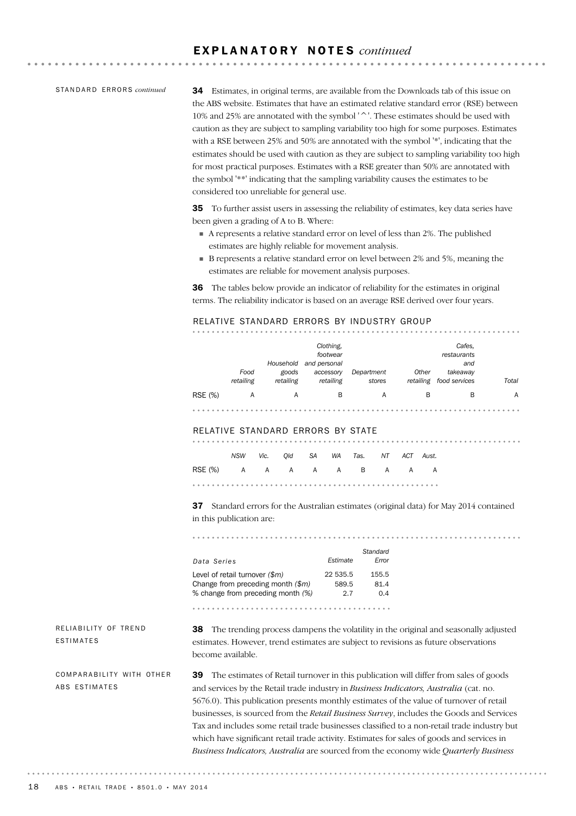### E X P L A N A T O R Y N O T E S *continued*

STANDARD ERRORS *continued* 

34 Estimates, in original terms, are available from the Downloads tab of this issue on the ABS website. Estimates that have an estimated relative standard error (RSE) between 10% and 25% are annotated with the symbol '^'. These estimates should be used with caution as they are subject to sampling variability too high for some purposes. Estimates with a RSE between 25% and 50% are annotated with the symbol '\*', indicating that the estimates should be used with caution as they are subject to sampling variability too high for most practical purposes. Estimates with a RSE greater than 50% are annotated with the symbol '\*\*' indicating that the sampling variability causes the estimates to be considered too unreliable for general use.

. . . . . . . . . . . . . . . .

. . . . . . . . . . . . . . . . . . .

35 To further assist users in assessing the reliability of estimates, key data series have been given a grading of A to B. Where:

- ! A represents a relative standard error on level of less than 2%. The published estimates are highly reliable for movement analysis.
- B represents a relative standard error on level between 2% and 5%, meaning the estimates are reliable for movement analysis purposes.

36 The tables below provide an indicator of reliability for the estimates in original terms. The reliability indicator is based on an average RSE derived over four years.

#### RELATIVE STANDARD ERRORS BY INDUSTRY GROUP

|         | Food      | Household<br>goods | Clothing.<br>footwear<br>and personal<br>accessory | Department | Other     | Cafes,<br>restaurants<br>and<br>takeaway |       |
|---------|-----------|--------------------|----------------------------------------------------|------------|-----------|------------------------------------------|-------|
|         | retailing | retailing          | retailing                                          | stores     | retailing | food services                            | Total |
| RSE (%) | A         | A                  | в                                                  | A          | B         | в                                        | A     |
|         |           |                    |                                                    |            |           |                                          |       |

#### RELATIVE STANDARD ERRORS BY STATE

|                          |  |  | NSW Vic. Old SA WA Tas. NT ACT Aust. |  |  |  |
|--------------------------|--|--|--------------------------------------|--|--|--|
| RSE(%) A A A A A B A A A |  |  |                                      |  |  |  |
|                          |  |  |                                      |  |  |  |

37 Standard errors for the Australian estimates (original data) for May 2014 contained in this publication are:

*Standard Data Series Estimate Error* Level of retail turnover  $(\frac{m}{2})$  22 535.5 155.5 Change from preceding month *(\$m)* 589.5 81.4 % change from preceding month *(%)* 2.7 0.4 

RELIABILITY OF TREND ESTIMATES

38 The trending process dampens the volatility in the original and seasonally adjusted estimates. However, trend estimates are subject to revisions as future observations become available.

COMPARABILITY WITH OTHER ABS ESTIMATES

39 The estimates of Retail turnover in this publication will differ from sales of goods and services by the Retail trade industry in *Business Indicators, Australia* (cat. no. 5676.0). This publication presents monthly estimates of the value of turnover of retail businesses, is sourced from the *Retail Business Survey*, includes the Goods and Services Tax and includes some retail trade businesses classified to a non-retail trade industry but which have significant retail trade activity. Estimates for sales of goods and services in *Business Indicators, Australia* are sourced from the economy wide *Quarterly Business*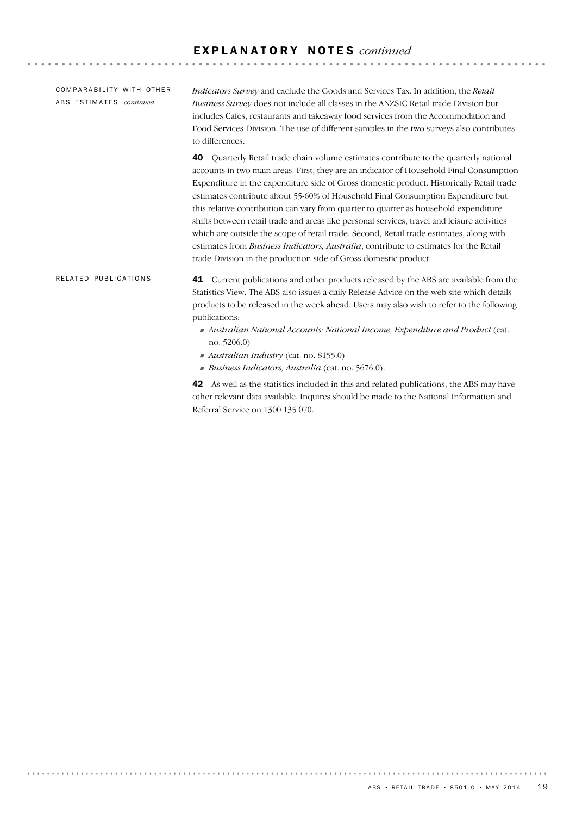COMPARABILITY WITH OTHER ABS ESTIMATES *continued* 

*Indicators Survey* and exclude the Goods and Services Tax. In addition, the *Retail Business Survey* does not include all classes in the ANZSIC Retail trade Division but includes Cafes, restaurants and takeaway food services from the Accommodation and Food Services Division. The use of different samples in the two surveys also contributes to differences.

40 Quarterly Retail trade chain volume estimates contribute to the quarterly national accounts in two main areas. First, they are an indicator of Household Final Consumption Expenditure in the expenditure side of Gross domestic product. Historically Retail trade estimates contribute about 55-60% of Household Final Consumption Expenditure but this relative contribution can vary from quarter to quarter as household expenditure shifts between retail trade and areas like personal services, travel and leisure activities which are outside the scope of retail trade. Second, Retail trade estimates, along with estimates from *Business Indicators, Australia*, contribute to estimates for the Retail trade Division in the production side of Gross domestic product.

41 Current publications and other products released by the ABS are available from the Statistics View. The ABS also issues a daily Release Advice on the web site which details products to be released in the week ahead. Users may also wish to refer to the following publications: RELATED PUBLICATIONS

- ! *Australian National Accounts: National Income, Expenditure and Product* (cat. no. 5206.0)
- ! *Australian Industry* (cat. no. 8155.0)
- ! *Business Indicators, Australia* (cat. no. 5676.0).

42 As well as the statistics included in this and related publications, the ABS may have other relevant data available. Inquires should be made to the National Information and Referral Service on 1300 135 070.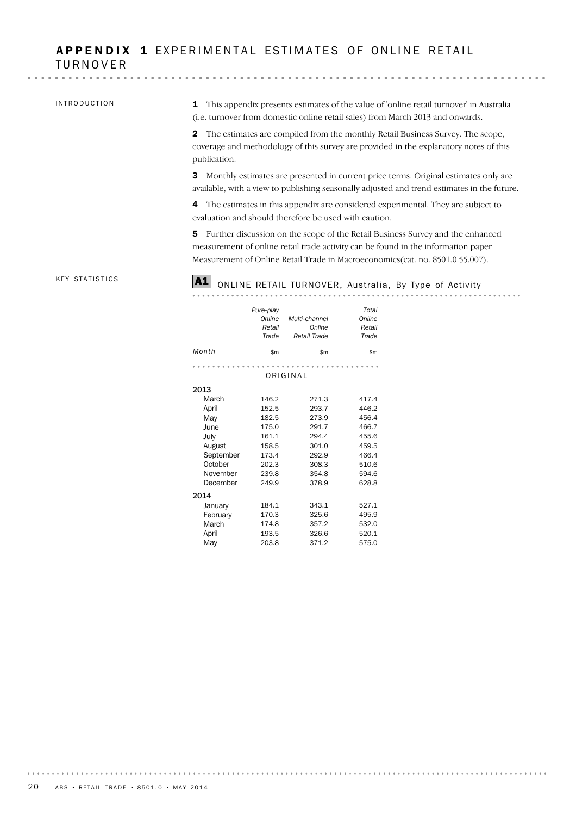## APPENDIX 1 EXPERIMENTAL ESTIMATES OF ONLINE RETAIL TURNOVER

 $\mathbf{a} \cdot \mathbf{a} \cdot \mathbf{a} \cdot \mathbf{a}$ 

#### INTRODUCTION

1 This appendix presents estimates of the value of 'online retail turnover' in Australia (i.e. turnover from domestic online retail sales) from March 2013 and onwards.

2 The estimates are compiled from the monthly Retail Business Survey. The scope, coverage and methodology of this survey are provided in the explanatory notes of this publication.

3 Monthly estimates are presented in current price terms. Original estimates only are available, with a view to publishing seasonally adjusted and trend estimates in the future.

4 The estimates in this appendix are considered experimental. They are subject to evaluation and should therefore be used with caution.

5 Further discussion on the scope of the Retail Business Survey and the enhanced measurement of online retail trade activity can be found in the information paper Measurement of Online Retail Trade in Macroeconomics(cat. no. 8501.0.55.007).

#### KEY STATISTICS

# A1 ONLINE RETAIL TURNOVER, Australia, By Type of Activity

|           | Pure-play<br>Online<br>Retail<br>Trade | Multi-channel<br>Online<br>Retail Trade | Total<br>Online<br>Retail<br>Trade |
|-----------|----------------------------------------|-----------------------------------------|------------------------------------|
| Month     | \$m                                    | \$m                                     | \$m                                |
|           |                                        |                                         |                                    |
|           |                                        | ORIGINAL                                |                                    |
| 2013      |                                        |                                         |                                    |
| March     | 146.2                                  | 271.3                                   | 417.4                              |
| April     | 152.5                                  | 293.7                                   | 446.2                              |
| May       | 182.5                                  | 273.9                                   | 456.4                              |
| June      | 175.0                                  | 291.7                                   | 466.7                              |
| July      | 161.1                                  | 294.4                                   | 455.6                              |
| August    | 158.5                                  | 301.0                                   | 459.5                              |
| September | 173.4                                  | 292.9                                   | 466.4                              |
| October   | 202.3                                  | 308.3                                   | 510.6                              |
| November  | 239.8                                  | 354.8                                   | 594.6                              |
| December  | 249.9                                  | 378.9                                   | 628.8                              |
| 2014      |                                        |                                         |                                    |
| January   | 184.1                                  | 343.1                                   | 527.1                              |
| February  | 170.3                                  | 325.6                                   | 495.9                              |
| March     | 174.8                                  | 357.2                                   | 532.0                              |
| April     | 193.5                                  | 326.6                                   | 520.1                              |
| Mav       | 203.8                                  | 371.2                                   | 575.0                              |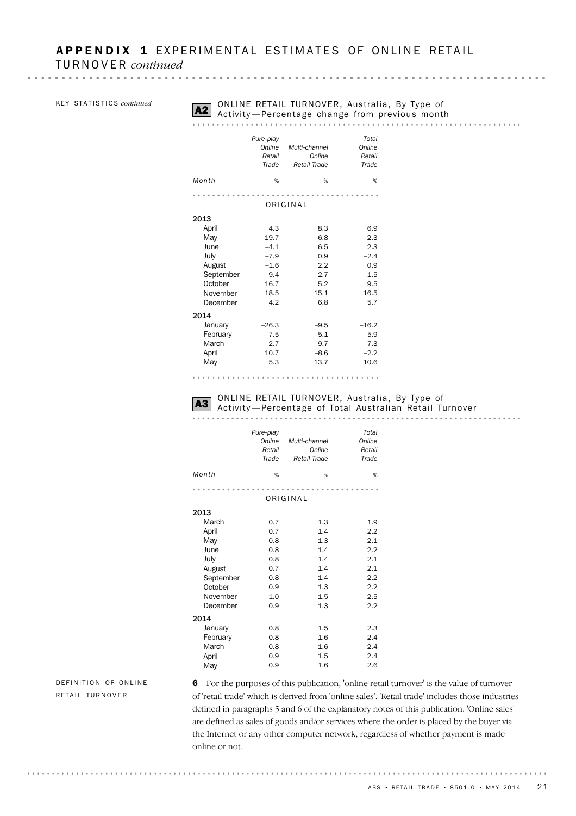| KEY STATISTICS continued |  |
|--------------------------|--|
|--------------------------|--|

# **A2** ONLINE RETAIL TURNOVER, Australia, By Type of Activity—Percentage change from previous month

#### . . . . . . . . . . . . . . . . . . . . . . . . . . . . .

|           | Pure-play<br>Online<br>Retail<br>Trade | Multi-channel<br>Online<br>Retail Trade | Total<br>Online<br>Retail<br>Trade |
|-----------|----------------------------------------|-----------------------------------------|------------------------------------|
| Month     | %                                      | %                                       | %                                  |
|           |                                        |                                         |                                    |
|           |                                        | ORIGINAL                                |                                    |
| 2013      |                                        |                                         |                                    |
| April     | 4.3                                    | 8.3                                     | 6.9                                |
| May       | 19.7                                   | $-6.8$                                  | 2.3                                |
| June      | $-4.1$                                 | 6.5                                     | 2.3                                |
| July      | $-7.9$                                 | 0.9                                     | $-2.4$                             |
| August    | $-1.6$                                 | 2.2                                     | 0.9                                |
| September | 9.4                                    | $-2.7$                                  | 1.5                                |
| October   | 16.7                                   | 5.2                                     | 9.5                                |
| November  | 18.5                                   | 15.1                                    | 16.5                               |
| December  | 4.2                                    | 6.8                                     | 5.7                                |
| 2014      |                                        |                                         |                                    |
| January   | $-26.3$                                | $-9.5$                                  | $-16.2$                            |
| February  | $-7.5$                                 | $-5.1$                                  | $-5.9$                             |
| March     | 2.7                                    | 9.7                                     | 7.3                                |
| April     | 10.7                                   | $-8.6$                                  | $-2.2$                             |
| May       | 5.3                                    | 13.7                                    | 10.6                               |

# **A3** ONLINE RETAIL TURNOVER, Australia, By Type of Astroline Association Retail Turnover

. . . . . . . . . . . . . 

|           | Pure-play<br>Online<br>Retail<br>Trade | Multi-channel<br>Online<br>Retail Trade | Total<br>Online<br>Retail<br>Trade |
|-----------|----------------------------------------|-----------------------------------------|------------------------------------|
| Month     | %                                      | %                                       | %                                  |
|           |                                        |                                         |                                    |
|           |                                        | ORIGINAL                                |                                    |
| 2013      |                                        |                                         |                                    |
| March     | 0.7                                    | 1.3                                     | 1.9                                |
| April     | 0.7                                    | 1.4                                     | 2.2                                |
| May       | 0.8                                    | 1.3                                     | 2.1                                |
| June      | 0.8                                    | 1.4                                     | 2.2                                |
| July      | 0.8                                    | 1.4                                     | 2.1                                |
| August    | 0.7                                    | 1.4                                     | 2.1                                |
| September | 0.8                                    | 1.4                                     | 2.2                                |
| October   | 0.9                                    | 1.3                                     | 2.2                                |
| November  | 1.0                                    | 1.5                                     | 2.5                                |
| December  | 0.9                                    | 1.3                                     | 2.2                                |
| 2014      |                                        |                                         |                                    |
| January   | 0.8                                    | 1.5                                     | 2.3                                |
| February  | 0.8                                    | 1.6                                     | 2.4                                |
| March     | 0.8                                    | 1.6                                     | 2.4                                |
| April     | 0.9                                    | 1.5                                     | 2.4                                |
| May       | 0.9                                    | 1.6                                     | 2.6                                |

DEFINITION OF ONLINE RETAIL TURNOVER

. . . . . . . . . . . . . .

6 For the purposes of this publication, 'online retail turnover' is the value of turnover of 'retail trade' which is derived from 'online sales'. 'Retail trade' includes those industries defined in paragraphs 5 and 6 of the explanatory notes of this publication. 'Online sales' are defined as sales of goods and/or services where the order is placed by the buyer via the Internet or any other computer network, regardless of whether payment is made online or not.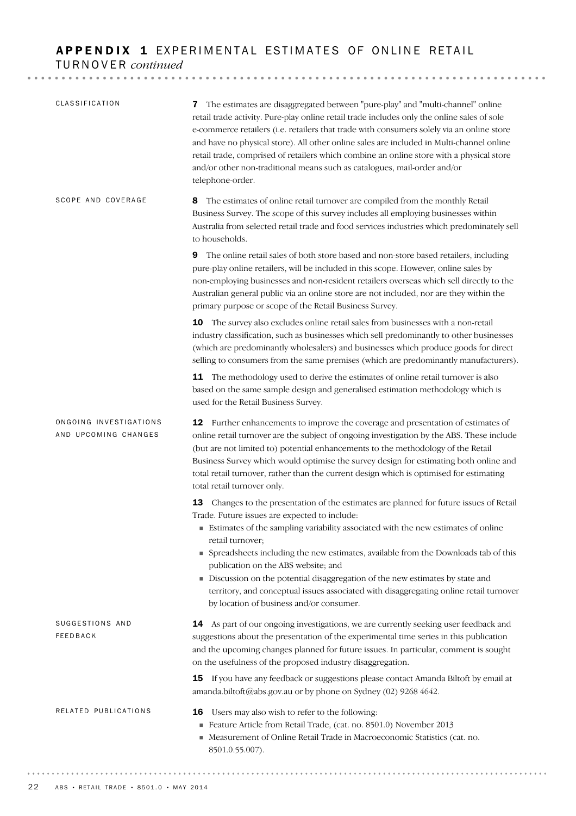# APPENDIX 1 EXPERIMENTAL ESTIMATES OF ONLINE RETAIL TURNOVER *continued*

|                                                | 7 The estimates are disaggregated between "pure-play" and "multi-channel" online<br>retail trade activity. Pure-play online retail trade includes only the online sales of sole<br>e-commerce retailers (i.e. retailers that trade with consumers solely via an online store<br>and have no physical store). All other online sales are included in Multi-channel online<br>retail trade, comprised of retailers which combine an online store with a physical store<br>and/or other non-traditional means such as catalogues, mail-order and/or<br>telephone-order. |
|------------------------------------------------|----------------------------------------------------------------------------------------------------------------------------------------------------------------------------------------------------------------------------------------------------------------------------------------------------------------------------------------------------------------------------------------------------------------------------------------------------------------------------------------------------------------------------------------------------------------------|
| SCOPE AND COVERAGE                             | The estimates of online retail turnover are compiled from the monthly Retail<br>8<br>Business Survey. The scope of this survey includes all employing businesses within<br>Australia from selected retail trade and food services industries which predominately sell<br>to households.                                                                                                                                                                                                                                                                              |
|                                                | <b>9</b> The online retail sales of both store based and non-store based retailers, including<br>pure-play online retailers, will be included in this scope. However, online sales by<br>non-employing businesses and non-resident retailers overseas which sell directly to the<br>Australian general public via an online store are not included, nor are they within the<br>primary purpose or scope of the Retail Business Survey.                                                                                                                               |
|                                                | 10 The survey also excludes online retail sales from businesses with a non-retail<br>industry classification, such as businesses which sell predominantly to other businesses<br>(which are predominantly wholesalers) and businesses which produce goods for direct<br>selling to consumers from the same premises (which are predominantly manufacturers).                                                                                                                                                                                                         |
|                                                | 11 The methodology used to derive the estimates of online retail turnover is also<br>based on the same sample design and generalised estimation methodology which is<br>used for the Retail Business Survey.                                                                                                                                                                                                                                                                                                                                                         |
| ONGOING INVESTIGATIONS<br>AND UPCOMING CHANGES | <b>12</b> Further enhancements to improve the coverage and presentation of estimates of<br>online retail turnover are the subject of ongoing investigation by the ABS. These include<br>(but are not limited to) potential enhancements to the methodology of the Retail<br>Business Survey which would optimise the survey design for estimating both online and<br>total retail turnover, rather than the current design which is optimised for estimating<br>total retail turnover only.                                                                          |
|                                                | 13<br>Changes to the presentation of the estimates are planned for future issues of Retail<br>Trade. Future issues are expected to include:<br>Estimates of the sampling variability associated with the new estimates of online<br>retail turnover;                                                                                                                                                                                                                                                                                                                 |
|                                                | • Spreadsheets including the new estimates, available from the Downloads tab of this<br>publication on the ABS website; and<br>Discussion on the potential disaggregation of the new estimates by state and                                                                                                                                                                                                                                                                                                                                                          |
|                                                | territory, and conceptual issues associated with disaggregating online retail turnover<br>by location of business and/or consumer.                                                                                                                                                                                                                                                                                                                                                                                                                                   |
| SUGGESTIONS AND<br><b>FEEDBACK</b>             | 14 As part of our ongoing investigations, we are currently seeking user feedback and<br>suggestions about the presentation of the experimental time series in this publication<br>and the upcoming changes planned for future issues. In particular, comment is sought<br>on the usefulness of the proposed industry disaggregation.                                                                                                                                                                                                                                 |
|                                                | 15 If you have any feedback or suggestions please contact Amanda Biltoft by email at<br>amanda.biltoft@abs.gov.au or by phone on Sydney (02) 9268 4642.                                                                                                                                                                                                                                                                                                                                                                                                              |
| RELATED PUBLICATIONS                           | Users may also wish to refer to the following:<br>16<br>Feature Article from Retail Trade, (cat. no. 8501.0) November 2013<br>■ Measurement of Online Retail Trade in Macroeconomic Statistics (cat. no.                                                                                                                                                                                                                                                                                                                                                             |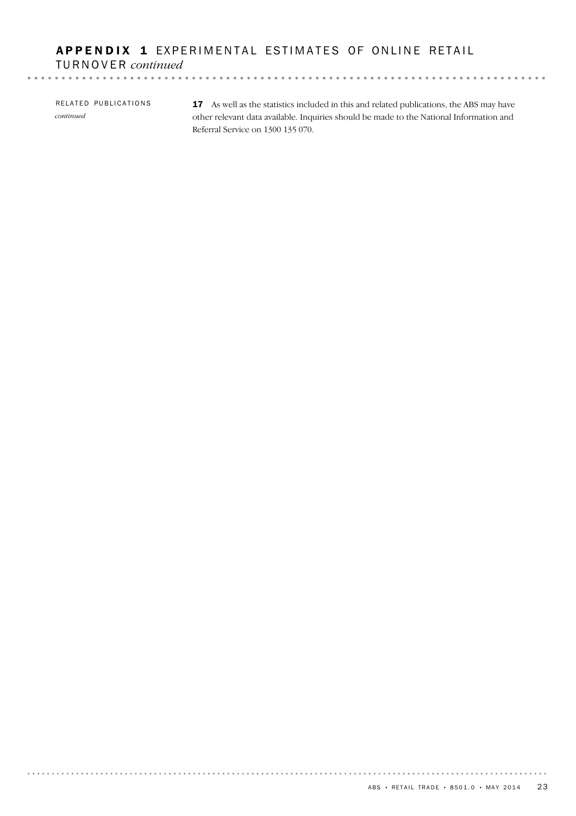## APPENDIX 1 EXPERIMENTAL ESTIMATES OF ONLINE RETAIL TURNOVER *continued*

RELATED PUBLICATIONS *continued*

17 As well as the statistics included in this and related publications, the ABS may have other relevant data available. Inquiries should be made to the National Information and Referral Service on 1300 135 070.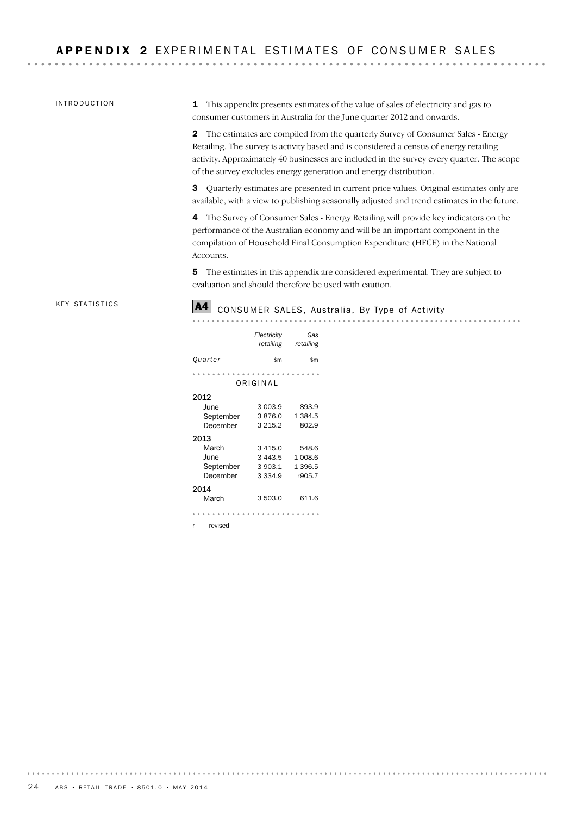#### INTRODUCTION

1 This appendix presents estimates of the value of sales of electricity and gas to consumer customers in Australia for the June quarter 2012 and onwards.

2 The estimates are compiled from the quarterly Survey of Consumer Sales - Energy Retailing. The survey is activity based and is considered a census of energy retailing activity. Approximately 40 businesses are included in the survey every quarter. The scope of the survey excludes energy generation and energy distribution.

3 Quarterly estimates are presented in current price values. Original estimates only are available, with a view to publishing seasonally adjusted and trend estimates in the future.

4 The Survey of Consumer Sales - Energy Retailing will provide key indicators on the performance of the Australian economy and will be an important component in the compilation of Household Final Consumption Expenditure (HFCE) in the National Accounts.

5 The estimates in this appendix are considered experimental. They are subject to evaluation and should therefore be used with caution.

. . . . . . . . . . . . .

. . . . . . . . . . . . . . . .

#### **KEY STATISTICS**

# A4 CONSUMER SALES, Australia, By Type of Activity

|              | Electricity<br>retailing | Gas<br>retailing |
|--------------|--------------------------|------------------|
| Quarter      | \$m                      | \$m              |
|              |                          |                  |
|              | ORIGINAL                 |                  |
| 2012         |                          |                  |
| June         | 3 003.9                  | 893.9            |
| September    | 3876.0                   | 1 384.5          |
| December     | 3 2 1 5 . 2              | 802.9            |
| 2013         |                          |                  |
| March        | 3 4 1 5 . 0              | 548.6            |
| June         | 3 4 4 3 .5               | 1 008.6          |
| September    | 3 903.1                  | 1 396.5          |
| December     | 3.334.9                  | r905.7           |
| 2014         |                          |                  |
| March        | 3503.0                   | 611.6            |
|              |                          |                  |
| revised<br>r |                          |                  |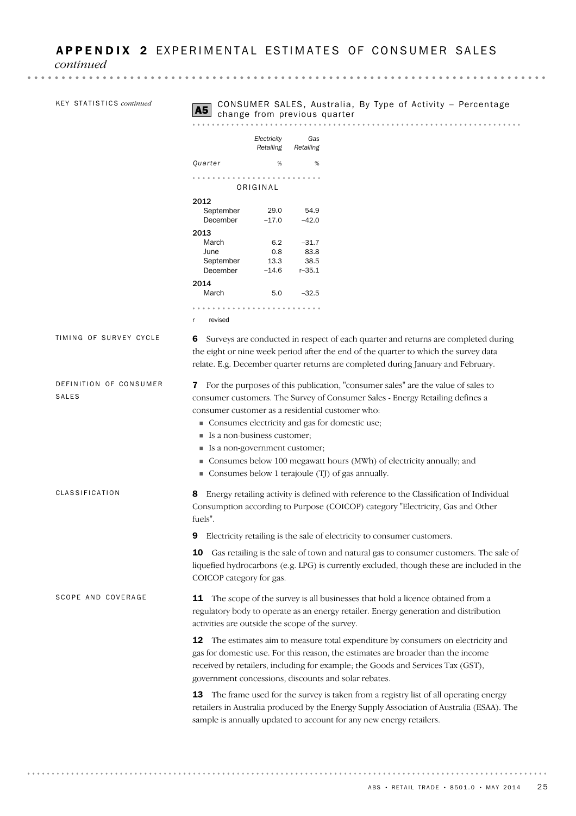*continued*

|                                        | Electricity<br>Gas                                                                                                                                                                                                                                                                                                  |  |  |
|----------------------------------------|---------------------------------------------------------------------------------------------------------------------------------------------------------------------------------------------------------------------------------------------------------------------------------------------------------------------|--|--|
|                                        | Retailing<br>Retailing                                                                                                                                                                                                                                                                                              |  |  |
|                                        | Quarter<br>%<br>%                                                                                                                                                                                                                                                                                                   |  |  |
|                                        |                                                                                                                                                                                                                                                                                                                     |  |  |
|                                        | ORIGINAL                                                                                                                                                                                                                                                                                                            |  |  |
|                                        | 2012<br>September<br>29.0<br>54.9                                                                                                                                                                                                                                                                                   |  |  |
|                                        | December<br>$-17.0$<br>$-42.0$                                                                                                                                                                                                                                                                                      |  |  |
|                                        | 2013<br>$-31.7$<br>March<br>6.2                                                                                                                                                                                                                                                                                     |  |  |
|                                        | 83.8<br>0.8<br>June                                                                                                                                                                                                                                                                                                 |  |  |
|                                        | September<br>13.3<br>38.5                                                                                                                                                                                                                                                                                           |  |  |
|                                        | December<br>$-14.6$<br>$r - 35.1$<br>2014                                                                                                                                                                                                                                                                           |  |  |
|                                        | $-32.5$<br>March<br>5.0                                                                                                                                                                                                                                                                                             |  |  |
|                                        | revised<br>r                                                                                                                                                                                                                                                                                                        |  |  |
| TIMING OF SURVEY CYCLE                 | Surveys are conducted in respect of each quarter and returns are completed during<br>6<br>the eight or nine week period after the end of the quarter to which the survey data<br>relate. E.g. December quarter returns are completed during January and February.                                                   |  |  |
| DEFINITION OF CONSUMER<br><b>SALES</b> | 7 For the purposes of this publication, "consumer sales" are the value of sales to<br>consumer customers. The Survey of Consumer Sales - Energy Retailing defines a                                                                                                                                                 |  |  |
|                                        | consumer customer as a residential customer who:                                                                                                                                                                                                                                                                    |  |  |
|                                        | Consumes electricity and gas for domestic use;<br>Is a non-business customer;                                                                                                                                                                                                                                       |  |  |
|                                        | ■ Is a non-government customer;                                                                                                                                                                                                                                                                                     |  |  |
|                                        | • Consumes below 100 megawatt hours (MWh) of electricity annually; and<br>• Consumes below 1 terajoule (TJ) of gas annually.                                                                                                                                                                                        |  |  |
| <b>CLASSIFICATION</b>                  | 8 Energy retailing activity is defined with reference to the Classification of Individual<br>Consumption according to Purpose (COICOP) category "Electricity, Gas and Other<br>fuels".                                                                                                                              |  |  |
|                                        | Electricity retailing is the sale of electricity to consumer customers.<br>9                                                                                                                                                                                                                                        |  |  |
|                                        | Gas retailing is the sale of town and natural gas to consumer customers. The sale of<br>10<br>liquefied hydrocarbons (e.g. LPG) is currently excluded, though these are included in the<br>COICOP category for gas.                                                                                                 |  |  |
| SCOPE AND COVERAGE                     | 11 The scope of the survey is all businesses that hold a licence obtained from a<br>regulatory body to operate as an energy retailer. Energy generation and distribution<br>activities are outside the scope of the survey.                                                                                         |  |  |
|                                        | The estimates aim to measure total expenditure by consumers on electricity and<br>12<br>gas for domestic use. For this reason, the estimates are broader than the income<br>received by retailers, including for example; the Goods and Services Tax (GST),<br>government concessions, discounts and solar rebates. |  |  |
|                                        | 13<br>The frame used for the survey is taken from a registry list of all operating energy<br>retailers in Australia produced by the Energy Supply Association of Australia (ESAA). The                                                                                                                              |  |  |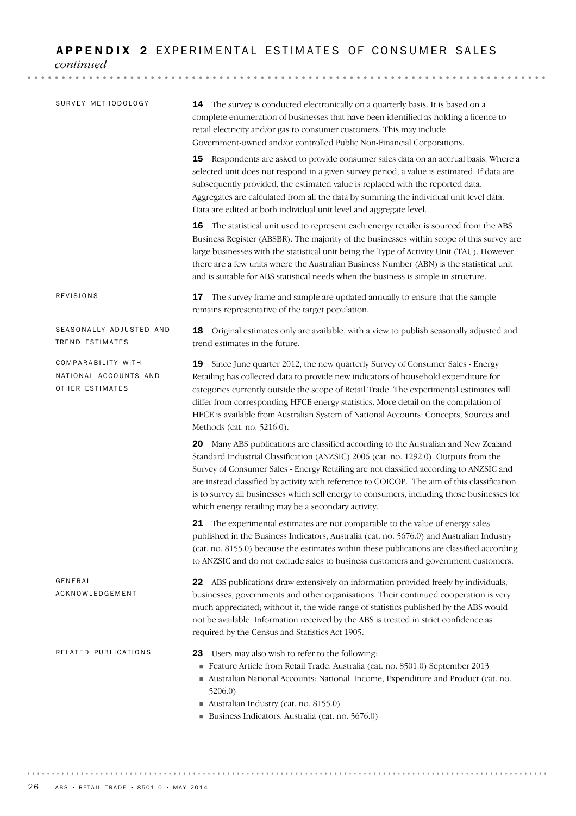## APPENDIX 2 EXPERIMENTAL ESTIMATES OF CONSUMER SALES

*continued*

| SURVEY METHODOLOGY                                             | 14 The survey is conducted electronically on a quarterly basis. It is based on a<br>complete enumeration of businesses that have been identified as holding a licence to<br>retail electricity and/or gas to consumer customers. This may include<br>Government-owned and/or controlled Public Non-Financial Corporations.                                                                                                                                                                                                |
|----------------------------------------------------------------|---------------------------------------------------------------------------------------------------------------------------------------------------------------------------------------------------------------------------------------------------------------------------------------------------------------------------------------------------------------------------------------------------------------------------------------------------------------------------------------------------------------------------|
|                                                                | 15 Respondents are asked to provide consumer sales data on an accrual basis. Where a<br>selected unit does not respond in a given survey period, a value is estimated. If data are<br>subsequently provided, the estimated value is replaced with the reported data.<br>Aggregates are calculated from all the data by summing the individual unit level data.<br>Data are edited at both individual unit level and aggregate level.                                                                                      |
|                                                                | 16 The statistical unit used to represent each energy retailer is sourced from the ABS<br>Business Register (ABSBR). The majority of the businesses within scope of this survey are<br>large businesses with the statistical unit being the Type of Activity Unit (TAU). However<br>there are a few units where the Australian Business Number (ABN) is the statistical unit<br>and is suitable for ABS statistical needs when the business is simple in structure.                                                       |
| REVISIONS                                                      | 17 The survey frame and sample are updated annually to ensure that the sample<br>remains representative of the target population.                                                                                                                                                                                                                                                                                                                                                                                         |
| SEASONALLY ADJUSTED AND<br>TREND ESTIMATES                     | 18 Original estimates only are available, with a view to publish seasonally adjusted and<br>trend estimates in the future.                                                                                                                                                                                                                                                                                                                                                                                                |
| COMPARABILITY WITH<br>NATIONAL ACCOUNTS AND<br>OTHER ESTIMATES | 19<br>Since June quarter 2012, the new quarterly Survey of Consumer Sales - Energy<br>Retailing has collected data to provide new indicators of household expenditure for<br>categories currently outside the scope of Retail Trade. The experimental estimates will<br>differ from corresponding HFCE energy statistics. More detail on the compilation of<br>HFCE is available from Australian System of National Accounts: Concepts, Sources and<br>Methods (cat. no. 5216.0).                                         |
|                                                                | 20 Many ABS publications are classified according to the Australian and New Zealand<br>Standard Industrial Classification (ANZSIC) 2006 (cat. no. 1292.0). Outputs from the<br>Survey of Consumer Sales - Energy Retailing are not classified according to ANZSIC and<br>are instead classified by activity with reference to COICOP. The aim of this classification<br>is to survey all businesses which sell energy to consumers, including those businesses for<br>which energy retailing may be a secondary activity. |
|                                                                | 21 The experimental estimates are not comparable to the value of energy sales<br>published in the Business Indicators, Australia (cat. no. 5676.0) and Australian Industry<br>(cat. no. 8155.0) because the estimates within these publications are classified according<br>to ANZSIC and do not exclude sales to business customers and government customers.                                                                                                                                                            |
| GENERAL<br>ACKNOWLEDGEMENT                                     | 22 ABS publications draw extensively on information provided freely by individuals,<br>businesses, governments and other organisations. Their continued cooperation is very<br>much appreciated; without it, the wide range of statistics published by the ABS would<br>not be available. Information received by the ABS is treated in strict confidence as<br>required by the Census and Statistics Act 1905.                                                                                                           |
| RELATED PUBLICATIONS                                           | Users may also wish to refer to the following:<br>23<br>Feature Article from Retail Trade, Australia (cat. no. 8501.0) September 2013<br>Australian National Accounts: National Income, Expenditure and Product (cat. no.<br>5206.0)<br>Australian Industry (cat. no. 8155.0)<br>Business Indicators, Australia (cat. no. 5676.0)                                                                                                                                                                                         |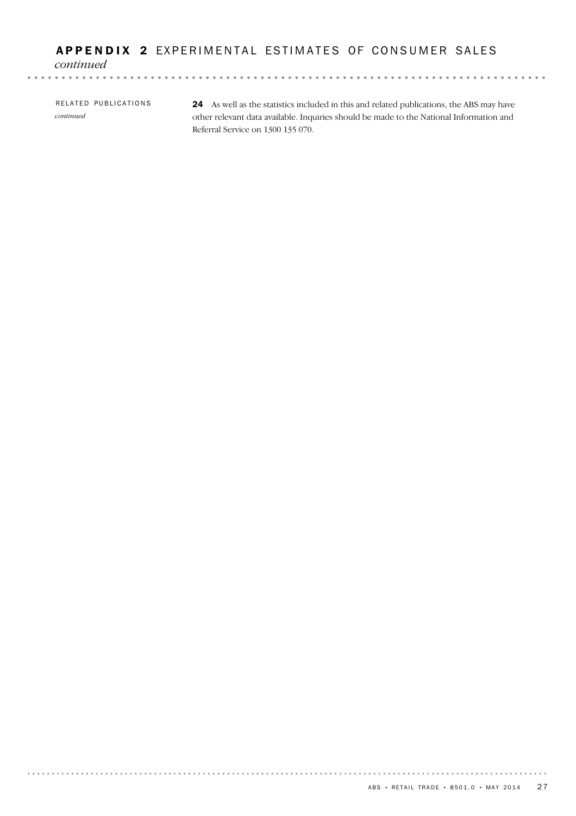## APPENDIX 2 EXPERIMENTAL ESTIMATES OF CONSUMER SALES

*continued*

24 As well as the statistics included in this and related publications, the ABS may have other relevant data available. Inquiries should be made to the National Information and RELATED PUBLICATIONS *continued*

Referral Service on 1300 135 070.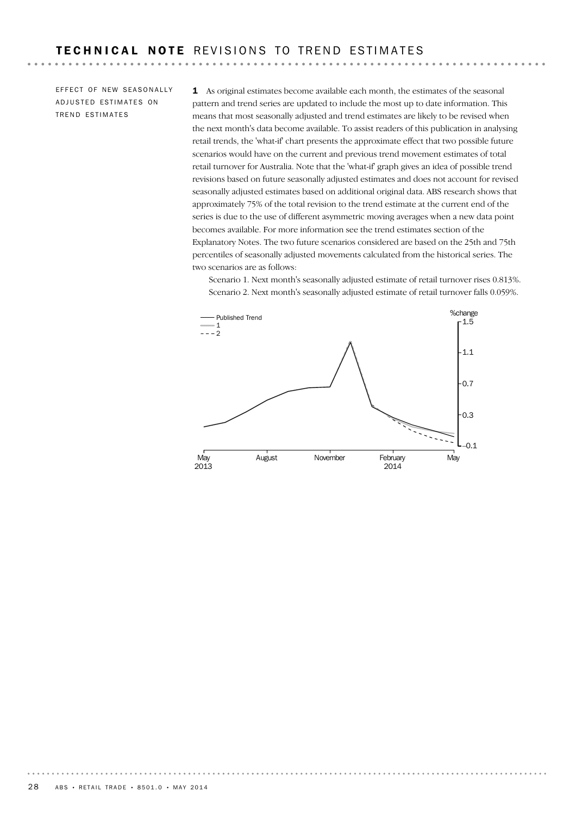$-$ 

EFFECT OF NEW SEASONALLY ADJUSTED ESTIMATES ON TREND ESTIMATES

. . . . . . . . . . . . .

1 As original estimates become available each month, the estimates of the seasonal pattern and trend series are updated to include the most up to date information. This means that most seasonally adjusted and trend estimates are likely to be revised when the next month's data become available. To assist readers of this publication in analysing retail trends, the 'what-if' chart presents the approximate effect that two possible future scenarios would have on the current and previous trend movement estimates of total retail turnover for Australia. Note that the 'what-if' graph gives an idea of possible trend revisions based on future seasonally adjusted estimates and does not account for revised seasonally adjusted estimates based on additional original data. ABS research shows that approximately 75% of the total revision to the trend estimate at the current end of the series is due to the use of different asymmetric moving averages when a new data point becomes available. For more information see the trend estimates section of the Explanatory Notes. The two future scenarios considered are based on the 25th and 75th percentiles of seasonally adjusted movements calculated from the historical series. The two scenarios are as follows:

Scenario 1. Next month's seasonally adjusted estimate of retail turnover rises 0.813%. Scenario 2. Next month's seasonally adjusted estimate of retail turnover falls 0.059%.